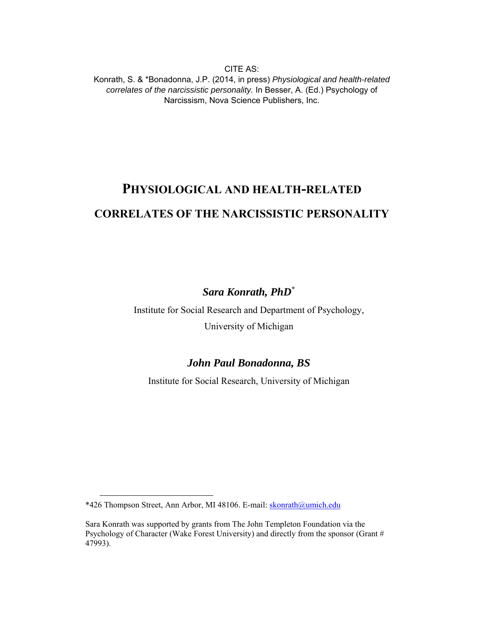#### CITE AS: Konrath, S. & \*Bonadonna, J.P. (2014, in press) *Physiological and health-related correlates of the narcissistic personality.* In Besser, A. (Ed.) Psychology of Narcissism, Nova Science Publishers, Inc.

# **PHYSIOLOGICAL AND HEALTH-RELATED**

### **CORRELATES OF THE NARCISSISTIC PERSONALITY**

*Sara Konrath, PhD***\***

Institute for Social Research and Department of Psychology, University of Michigan

### *John Paul Bonadonna, BS*

Institute for Social Research, University of Michigan

l

<sup>\*426</sup> Thompson Street, Ann Arbor, MI 48106. E-mail: skonrath@umich.edu

Sara Konrath was supported by grants from The John Templeton Foundation via the Psychology of Character (Wake Forest University) and directly from the sponsor (Grant # 47993).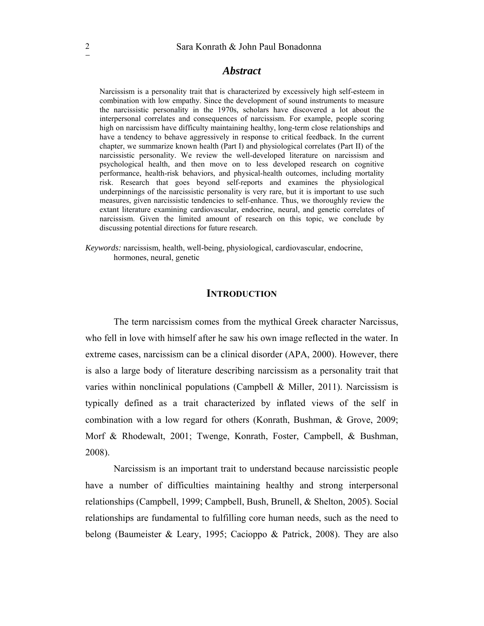#### *Abstract*

Narcissism is a personality trait that is characterized by excessively high self-esteem in combination with low empathy. Since the development of sound instruments to measure the narcissistic personality in the 1970s, scholars have discovered a lot about the interpersonal correlates and consequences of narcissism. For example, people scoring high on narcissism have difficulty maintaining healthy, long-term close relationships and have a tendency to behave aggressively in response to critical feedback. In the current chapter, we summarize known health (Part I) and physiological correlates (Part II) of the narcissistic personality. We review the well-developed literature on narcissism and psychological health, and then move on to less developed research on cognitive performance, health-risk behaviors, and physical-health outcomes, including mortality risk. Research that goes beyond self-reports and examines the physiological underpinnings of the narcissistic personality is very rare, but it is important to use such measures, given narcissistic tendencies to self-enhance. Thus, we thoroughly review the extant literature examining cardiovascular, endocrine, neural, and genetic correlates of narcissism. Given the limited amount of research on this topic, we conclude by discussing potential directions for future research.

*Keywords:* narcissism, health, well-being, physiological, cardiovascular, endocrine, hormones, neural, genetic

#### **INTRODUCTION**

The term narcissism comes from the mythical Greek character Narcissus, who fell in love with himself after he saw his own image reflected in the water. In extreme cases, narcissism can be a clinical disorder (APA, 2000). However, there is also a large body of literature describing narcissism as a personality trait that varies within nonclinical populations (Campbell & Miller, 2011). Narcissism is typically defined as a trait characterized by inflated views of the self in combination with a low regard for others (Konrath, Bushman, & Grove, 2009; Morf & Rhodewalt, 2001; Twenge, Konrath, Foster, Campbell, & Bushman, 2008).

Narcissism is an important trait to understand because narcissistic people have a number of difficulties maintaining healthy and strong interpersonal relationships (Campbell, 1999; Campbell, Bush, Brunell, & Shelton, 2005). Social relationships are fundamental to fulfilling core human needs, such as the need to belong (Baumeister & Leary, 1995; Cacioppo & Patrick, 2008). They are also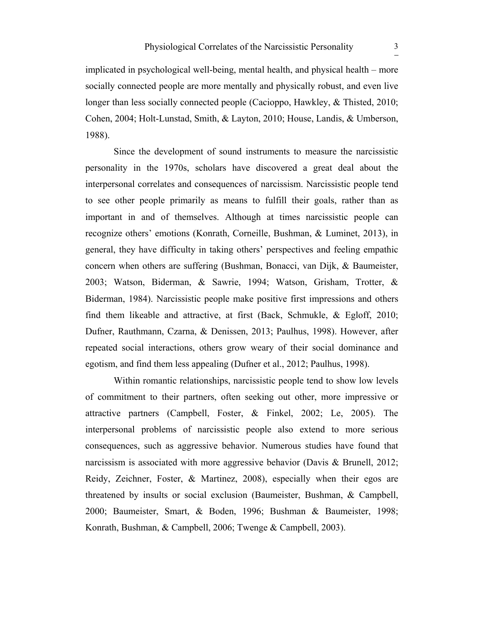implicated in psychological well-being, mental health, and physical health – more socially connected people are more mentally and physically robust, and even live longer than less socially connected people (Cacioppo, Hawkley, & Thisted, 2010; Cohen, 2004; Holt-Lunstad, Smith, & Layton, 2010; House, Landis, & Umberson, 1988).

Since the development of sound instruments to measure the narcissistic personality in the 1970s, scholars have discovered a great deal about the interpersonal correlates and consequences of narcissism. Narcissistic people tend to see other people primarily as means to fulfill their goals, rather than as important in and of themselves. Although at times narcissistic people can recognize others' emotions (Konrath, Corneille, Bushman, & Luminet, 2013), in general, they have difficulty in taking others' perspectives and feeling empathic concern when others are suffering (Bushman, Bonacci, van Dijk, & Baumeister, 2003; Watson, Biderman, & Sawrie, 1994; Watson, Grisham, Trotter, & Biderman, 1984). Narcissistic people make positive first impressions and others find them likeable and attractive, at first (Back, Schmukle, & Egloff, 2010; Dufner, Rauthmann, Czarna, & Denissen, 2013; Paulhus, 1998). However, after repeated social interactions, others grow weary of their social dominance and egotism, and find them less appealing (Dufner et al., 2012; Paulhus, 1998).

Within romantic relationships, narcissistic people tend to show low levels of commitment to their partners, often seeking out other, more impressive or attractive partners (Campbell, Foster, & Finkel, 2002; Le, 2005). The interpersonal problems of narcissistic people also extend to more serious consequences, such as aggressive behavior. Numerous studies have found that narcissism is associated with more aggressive behavior (Davis & Brunell, 2012; Reidy, Zeichner, Foster, & Martinez, 2008), especially when their egos are threatened by insults or social exclusion (Baumeister, Bushman, & Campbell, 2000; Baumeister, Smart, & Boden, 1996; Bushman & Baumeister, 1998; Konrath, Bushman, & Campbell, 2006; Twenge & Campbell, 2003).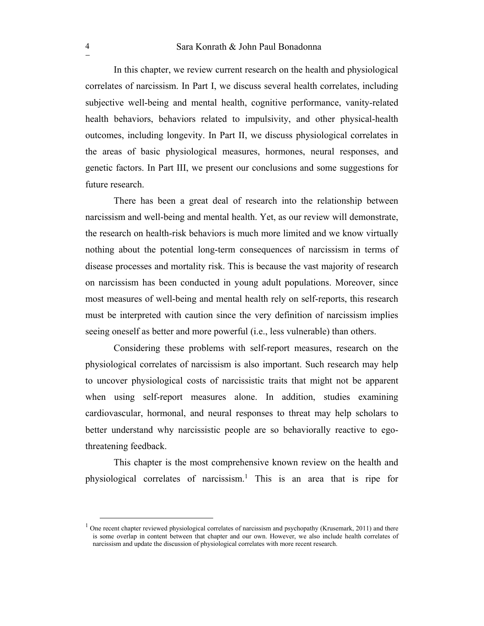In this chapter, we review current research on the health and physiological correlates of narcissism. In Part I, we discuss several health correlates, including subjective well-being and mental health, cognitive performance, vanity-related health behaviors, behaviors related to impulsivity, and other physical-health outcomes, including longevity. In Part II, we discuss physiological correlates in the areas of basic physiological measures, hormones, neural responses, and genetic factors. In Part III, we present our conclusions and some suggestions for future research.

There has been a great deal of research into the relationship between narcissism and well-being and mental health. Yet, as our review will demonstrate, the research on health-risk behaviors is much more limited and we know virtually nothing about the potential long-term consequences of narcissism in terms of disease processes and mortality risk. This is because the vast majority of research on narcissism has been conducted in young adult populations. Moreover, since most measures of well-being and mental health rely on self-reports, this research must be interpreted with caution since the very definition of narcissism implies seeing oneself as better and more powerful (i.e., less vulnerable) than others.

Considering these problems with self-report measures, research on the physiological correlates of narcissism is also important. Such research may help to uncover physiological costs of narcissistic traits that might not be apparent when using self-report measures alone. In addition, studies examining cardiovascular, hormonal, and neural responses to threat may help scholars to better understand why narcissistic people are so behaviorally reactive to egothreatening feedback.

This chapter is the most comprehensive known review on the health and physiological correlates of narcissism.<sup>1</sup> This is an area that is ripe for

<sup>&</sup>lt;sup>1</sup> One recent chapter reviewed physiological correlates of narcissism and psychopathy (Krusemark, 2011) and there is some overlap in content between that chapter and our own. However, we also include health correlates of narcissism and update the discussion of physiological correlates with more recent research.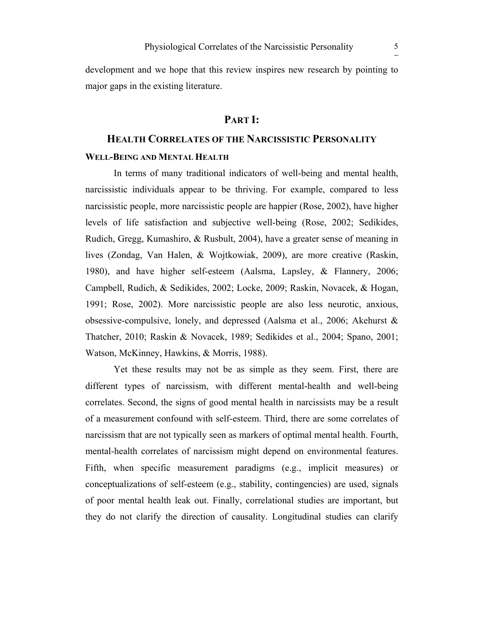development and we hope that this review inspires new research by pointing to major gaps in the existing literature.

#### **PART I:**

## **HEALTH CORRELATES OF THE NARCISSISTIC PERSONALITY WELL-BEING AND MENTAL HEALTH**

In terms of many traditional indicators of well-being and mental health, narcissistic individuals appear to be thriving. For example, compared to less narcissistic people, more narcissistic people are happier (Rose, 2002), have higher levels of life satisfaction and subjective well-being (Rose, 2002; Sedikides, Rudich, Gregg, Kumashiro, & Rusbult, 2004), have a greater sense of meaning in lives (Zondag, Van Halen, & Wojtkowiak, 2009), are more creative (Raskin, 1980), and have higher self-esteem (Aalsma, Lapsley, & Flannery, 2006; Campbell, Rudich, & Sedikides, 2002; Locke, 2009; Raskin, Novacek, & Hogan, 1991; Rose, 2002). More narcissistic people are also less neurotic, anxious, obsessive-compulsive, lonely, and depressed (Aalsma et al., 2006; Akehurst & Thatcher, 2010; Raskin & Novacek, 1989; Sedikides et al., 2004; Spano, 2001; Watson, McKinney, Hawkins, & Morris, 1988).

Yet these results may not be as simple as they seem. First, there are different types of narcissism, with different mental-health and well-being correlates. Second, the signs of good mental health in narcissists may be a result of a measurement confound with self-esteem. Third, there are some correlates of narcissism that are not typically seen as markers of optimal mental health. Fourth, mental-health correlates of narcissism might depend on environmental features. Fifth, when specific measurement paradigms (e.g., implicit measures) or conceptualizations of self-esteem (e.g., stability, contingencies) are used, signals of poor mental health leak out. Finally, correlational studies are important, but they do not clarify the direction of causality. Longitudinal studies can clarify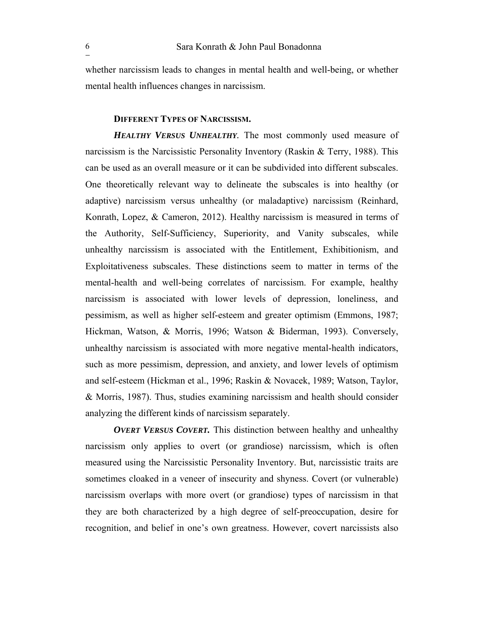whether narcissism leads to changes in mental health and well-being, or whether mental health influences changes in narcissism.

#### **DIFFERENT TYPES OF NARCISSISM.**

*HEALTHY VERSUS UNHEALTHY.* The most commonly used measure of narcissism is the Narcissistic Personality Inventory (Raskin & Terry, 1988). This can be used as an overall measure or it can be subdivided into different subscales. One theoretically relevant way to delineate the subscales is into healthy (or adaptive) narcissism versus unhealthy (or maladaptive) narcissism (Reinhard, Konrath, Lopez, & Cameron, 2012). Healthy narcissism is measured in terms of the Authority, Self-Sufficiency, Superiority, and Vanity subscales, while unhealthy narcissism is associated with the Entitlement, Exhibitionism, and Exploitativeness subscales. These distinctions seem to matter in terms of the mental-health and well-being correlates of narcissism. For example, healthy narcissism is associated with lower levels of depression, loneliness, and pessimism, as well as higher self-esteem and greater optimism (Emmons, 1987; Hickman, Watson, & Morris, 1996; Watson & Biderman, 1993). Conversely, unhealthy narcissism is associated with more negative mental-health indicators, such as more pessimism, depression, and anxiety, and lower levels of optimism and self-esteem (Hickman et al., 1996; Raskin & Novacek, 1989; Watson, Taylor, & Morris, 1987). Thus, studies examining narcissism and health should consider analyzing the different kinds of narcissism separately.

*OVERT VERSUS COVERT.* This distinction between healthy and unhealthy narcissism only applies to overt (or grandiose) narcissism, which is often measured using the Narcissistic Personality Inventory. But, narcissistic traits are sometimes cloaked in a veneer of insecurity and shyness. Covert (or vulnerable) narcissism overlaps with more overt (or grandiose) types of narcissism in that they are both characterized by a high degree of self-preoccupation, desire for recognition, and belief in one's own greatness. However, covert narcissists also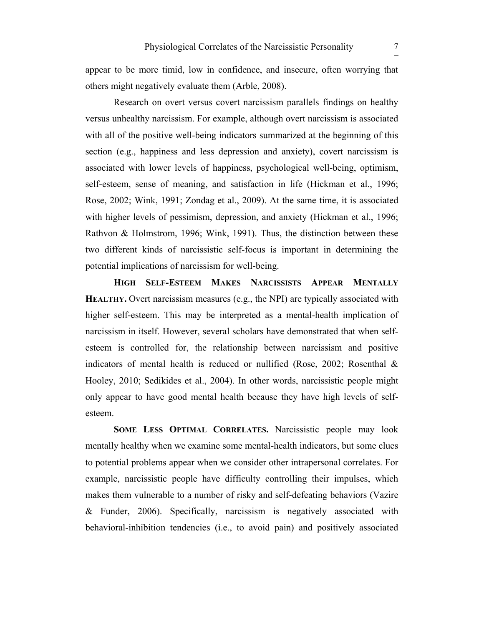appear to be more timid, low in confidence, and insecure, often worrying that others might negatively evaluate them (Arble, 2008).

Research on overt versus covert narcissism parallels findings on healthy versus unhealthy narcissism. For example, although overt narcissism is associated with all of the positive well-being indicators summarized at the beginning of this section (e.g., happiness and less depression and anxiety), covert narcissism is associated with lower levels of happiness, psychological well-being, optimism, self-esteem, sense of meaning, and satisfaction in life (Hickman et al., 1996; Rose, 2002; Wink, 1991; Zondag et al., 2009). At the same time, it is associated with higher levels of pessimism, depression, and anxiety (Hickman et al., 1996; Rathvon & Holmstrom, 1996; Wink, 1991). Thus, the distinction between these two different kinds of narcissistic self-focus is important in determining the potential implications of narcissism for well-being.

**HIGH SELF-ESTEEM MAKES NARCISSISTS APPEAR MENTALLY HEALTHY.** Overt narcissism measures (e.g., the NPI) are typically associated with higher self-esteem. This may be interpreted as a mental-health implication of narcissism in itself. However, several scholars have demonstrated that when selfesteem is controlled for, the relationship between narcissism and positive indicators of mental health is reduced or nullified (Rose, 2002; Rosenthal & Hooley, 2010; Sedikides et al., 2004). In other words, narcissistic people might only appear to have good mental health because they have high levels of selfesteem.

**SOME LESS OPTIMAL CORRELATES.** Narcissistic people may look mentally healthy when we examine some mental-health indicators, but some clues to potential problems appear when we consider other intrapersonal correlates. For example, narcissistic people have difficulty controlling their impulses, which makes them vulnerable to a number of risky and self-defeating behaviors (Vazire & Funder, 2006). Specifically, narcissism is negatively associated with behavioral-inhibition tendencies (i.e., to avoid pain) and positively associated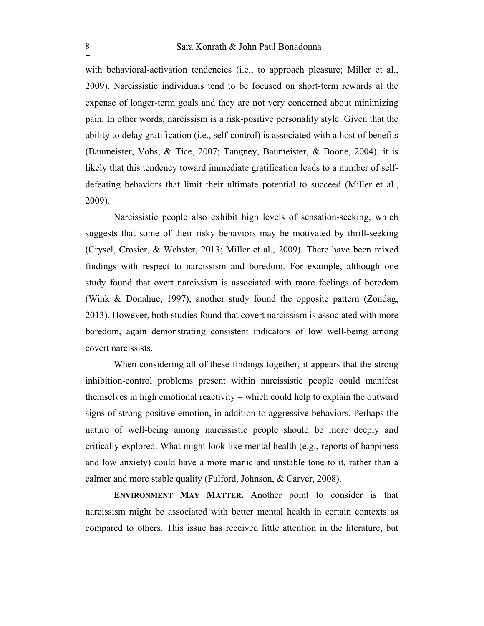with behavioral-activation tendencies (i.e., to approach pleasure; Miller et al., 2009). Narcissistic individuals tend to be focused on short-term rewards at the expense of longer-term goals and they are not very concerned about minimizing pain. In other words, narcissism is a risk-positive personality style. Given that the ability to delay gratification (i.e., self-control) is associated with a host of benefits (Baumeister, Vohs, & Tice, 2007; Tangney, Baumeister, & Boone, 2004), it is likely that this tendency toward immediate gratification leads to a number of selfdefeating behaviors that limit their ultimate potential to succeed (Miller et al., 2009).

Narcissistic people also exhibit high levels of sensation-seeking, which suggests that some of their risky behaviors may be motivated by thrill-seeking (Crysel, Crosier, & Webster, 2013; Miller et al., 2009). There have been mixed findings with respect to narcissism and boredom. For example, although one study found that overt narcissism is associated with more feelings of boredom (Wink & Donahue, 1997), another study found the opposite pattern (Zondag, 2013). However, both studies found that covert narcissism is associated with more boredom, again demonstrating consistent indicators of low well-being among covert narcissists.

When considering all of these findings together, it appears that the strong inhibition-control problems present within narcissistic people could manifest themselves in high emotional reactivity – which could help to explain the outward signs of strong positive emotion, in addition to aggressive behaviors. Perhaps the nature of well-being among narcissistic people should be more deeply and critically explored. What might look like mental health (e.g., reports of happiness and low anxiety) could have a more manic and unstable tone to it, rather than a calmer and more stable quality (Fulford, Johnson, & Carver, 2008).

**ENVIRONMENT MAY MATTER.** Another point to consider is that narcissism might be associated with better mental health in certain contexts as compared to others. This issue has received little attention in the literature, but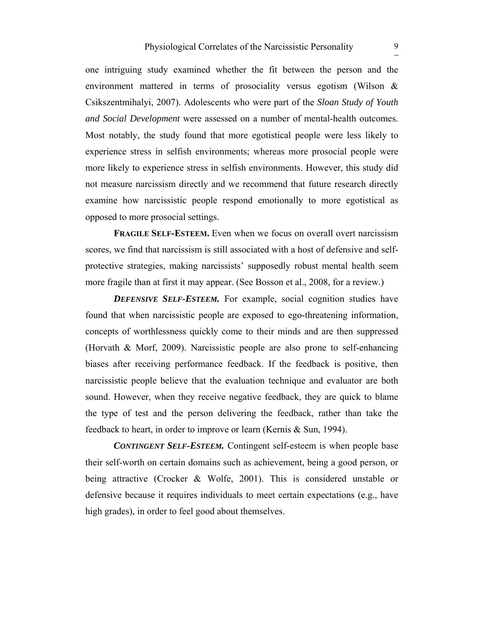one intriguing study examined whether the fit between the person and the environment mattered in terms of prosociality versus egotism (Wilson  $\&$ Csikszentmihalyi, 2007). Adolescents who were part of the *Sloan Study of Youth and Social Development* were assessed on a number of mental-health outcomes. Most notably, the study found that more egotistical people were less likely to experience stress in selfish environments; whereas more prosocial people were more likely to experience stress in selfish environments. However, this study did not measure narcissism directly and we recommend that future research directly examine how narcissistic people respond emotionally to more egotistical as opposed to more prosocial settings.

**FRAGILE SELF-ESTEEM.** Even when we focus on overall overt narcissism scores, we find that narcissism is still associated with a host of defensive and selfprotective strategies, making narcissists' supposedly robust mental health seem more fragile than at first it may appear. (See Bosson et al., 2008, for a review.)

**DEFENSIVE SELF-ESTEEM.** For example, social cognition studies have found that when narcissistic people are exposed to ego-threatening information, concepts of worthlessness quickly come to their minds and are then suppressed (Horvath & Morf, 2009). Narcissistic people are also prone to self-enhancing biases after receiving performance feedback. If the feedback is positive, then narcissistic people believe that the evaluation technique and evaluator are both sound. However, when they receive negative feedback, they are quick to blame the type of test and the person delivering the feedback, rather than take the feedback to heart, in order to improve or learn (Kernis & Sun, 1994).

*CONTINGENT SELF-ESTEEM.* Contingent self-esteem is when people base their self-worth on certain domains such as achievement, being a good person, or being attractive (Crocker & Wolfe, 2001). This is considered unstable or defensive because it requires individuals to meet certain expectations (e.g., have high grades), in order to feel good about themselves.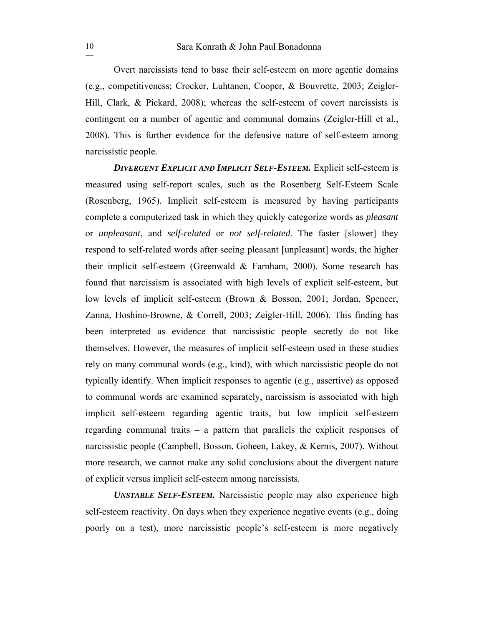Overt narcissists tend to base their self-esteem on more agentic domains (e.g., competitiveness; Crocker, Luhtanen, Cooper, & Bouvrette, 2003; Zeigler-Hill, Clark, & Pickard, 2008); whereas the self-esteem of covert narcissists is contingent on a number of agentic and communal domains (Zeigler-Hill et al., 2008). This is further evidence for the defensive nature of self-esteem among narcissistic people.

*DIVERGENT EXPLICIT AND IMPLICIT SELF-ESTEEM.* Explicit self-esteem is measured using self-report scales, such as the Rosenberg Self-Esteem Scale (Rosenberg, 1965). Implicit self-esteem is measured by having participants complete a computerized task in which they quickly categorize words as *pleasant*  or *unpleasant*, and *self-related* or *not self-related*. The faster [slower] they respond to self-related words after seeing pleasant [unpleasant] words, the higher their implicit self-esteem (Greenwald & Farnham, 2000). Some research has found that narcissism is associated with high levels of explicit self-esteem, but low levels of implicit self-esteem (Brown & Bosson, 2001; Jordan, Spencer, Zanna, Hoshino-Browne, & Correll, 2003; Zeigler-Hill, 2006). This finding has been interpreted as evidence that narcissistic people secretly do not like themselves. However, the measures of implicit self-esteem used in these studies rely on many communal words (e.g., kind), with which narcissistic people do not typically identify. When implicit responses to agentic (e.g., assertive) as opposed to communal words are examined separately, narcissism is associated with high implicit self-esteem regarding agentic traits, but low implicit self-esteem regarding communal traits – a pattern that parallels the explicit responses of narcissistic people (Campbell, Bosson, Goheen, Lakey, & Kernis, 2007). Without more research, we cannot make any solid conclusions about the divergent nature of explicit versus implicit self-esteem among narcissists.

*UNSTABLE SELF-ESTEEM.* Narcissistic people may also experience high self-esteem reactivity. On days when they experience negative events (e.g., doing poorly on a test), more narcissistic people's self-esteem is more negatively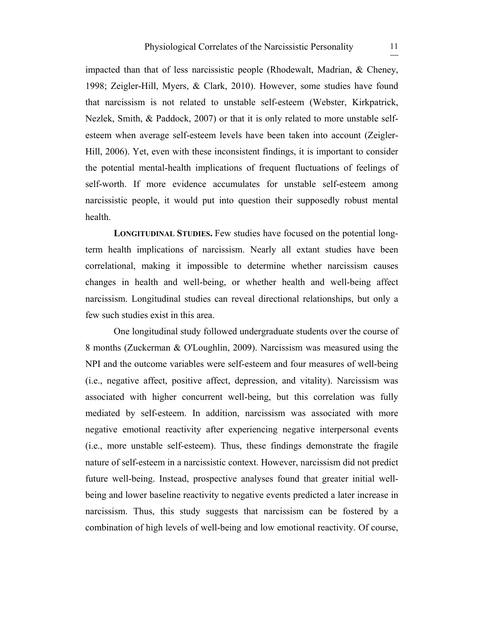impacted than that of less narcissistic people (Rhodewalt, Madrian, & Cheney, 1998; Zeigler-Hill, Myers, & Clark, 2010). However, some studies have found that narcissism is not related to unstable self-esteem (Webster, Kirkpatrick, Nezlek, Smith, & Paddock, 2007) or that it is only related to more unstable selfesteem when average self-esteem levels have been taken into account (Zeigler-Hill, 2006). Yet, even with these inconsistent findings, it is important to consider the potential mental-health implications of frequent fluctuations of feelings of self-worth. If more evidence accumulates for unstable self-esteem among narcissistic people, it would put into question their supposedly robust mental health.

**LONGITUDINAL STUDIES.** Few studies have focused on the potential longterm health implications of narcissism. Nearly all extant studies have been correlational, making it impossible to determine whether narcissism causes changes in health and well-being, or whether health and well-being affect narcissism. Longitudinal studies can reveal directional relationships, but only a few such studies exist in this area.

One longitudinal study followed undergraduate students over the course of 8 months (Zuckerman & O'Loughlin, 2009). Narcissism was measured using the NPI and the outcome variables were self-esteem and four measures of well-being (i.e., negative affect, positive affect, depression, and vitality). Narcissism was associated with higher concurrent well-being, but this correlation was fully mediated by self-esteem. In addition, narcissism was associated with more negative emotional reactivity after experiencing negative interpersonal events (i.e., more unstable self-esteem). Thus, these findings demonstrate the fragile nature of self-esteem in a narcissistic context. However, narcissism did not predict future well-being. Instead, prospective analyses found that greater initial wellbeing and lower baseline reactivity to negative events predicted a later increase in narcissism. Thus, this study suggests that narcissism can be fostered by a combination of high levels of well-being and low emotional reactivity. Of course,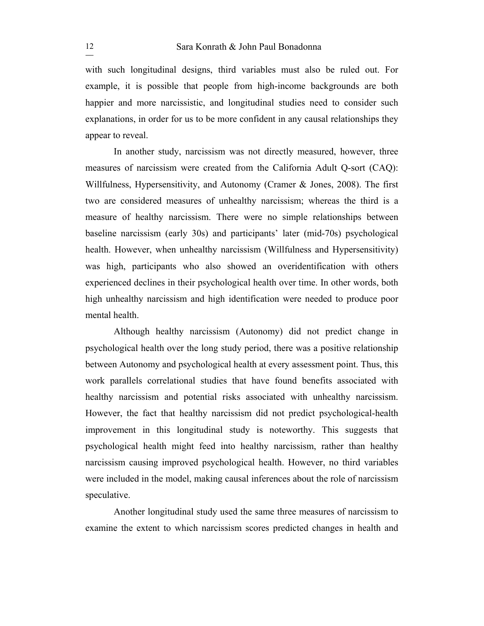with such longitudinal designs, third variables must also be ruled out. For example, it is possible that people from high-income backgrounds are both happier and more narcissistic, and longitudinal studies need to consider such explanations, in order for us to be more confident in any causal relationships they appear to reveal.

In another study, narcissism was not directly measured, however, three measures of narcissism were created from the California Adult Q-sort (CAQ): Willfulness, Hypersensitivity, and Autonomy (Cramer & Jones, 2008). The first two are considered measures of unhealthy narcissism; whereas the third is a measure of healthy narcissism. There were no simple relationships between baseline narcissism (early 30s) and participants' later (mid-70s) psychological health. However, when unhealthy narcissism (Willfulness and Hypersensitivity) was high, participants who also showed an overidentification with others experienced declines in their psychological health over time. In other words, both high unhealthy narcissism and high identification were needed to produce poor mental health.

Although healthy narcissism (Autonomy) did not predict change in psychological health over the long study period, there was a positive relationship between Autonomy and psychological health at every assessment point. Thus, this work parallels correlational studies that have found benefits associated with healthy narcissism and potential risks associated with unhealthy narcissism. However, the fact that healthy narcissism did not predict psychological-health improvement in this longitudinal study is noteworthy. This suggests that psychological health might feed into healthy narcissism, rather than healthy narcissism causing improved psychological health. However, no third variables were included in the model, making causal inferences about the role of narcissism speculative.

Another longitudinal study used the same three measures of narcissism to examine the extent to which narcissism scores predicted changes in health and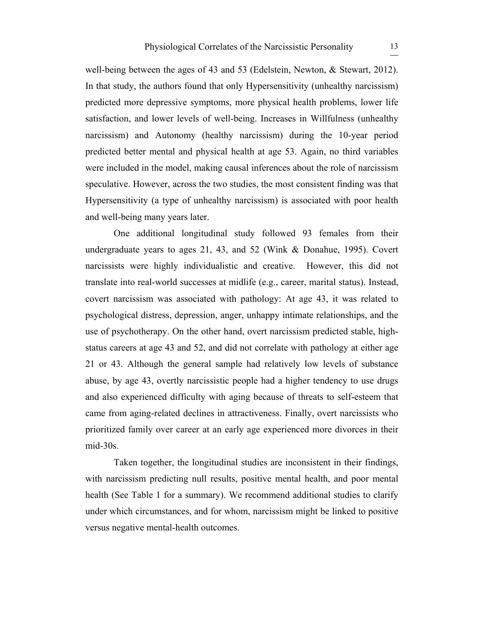well-being between the ages of 43 and 53 (Edelstein, Newton, & Stewart, 2012). In that study, the authors found that only Hypersensitivity (unhealthy narcissism) predicted more depressive symptoms, more physical health problems, lower life satisfaction, and lower levels of well-being. Increases in Willfulness (unhealthy narcissism) and Autonomy (healthy narcissism) during the 10-year period predicted better mental and physical health at age 53. Again, no third variables were included in the model, making causal inferences about the role of narcissism speculative. However, across the two studies, the most consistent finding was that Hypersensitivity (a type of unhealthy narcissism) is associated with poor health and well-being many years later.

One additional longitudinal study followed 93 females from their undergraduate years to ages 21, 43, and 52 (Wink & Donahue, 1995). Covert narcissists were highly individualistic and creative. However, this did not translate into real-world successes at midlife (e.g., career, marital status). Instead, covert narcissism was associated with pathology: At age 43, it was related to psychological distress, depression, anger, unhappy intimate relationships, and the use of psychotherapy. On the other hand, overt narcissism predicted stable, highstatus careers at age 43 and 52, and did not correlate with pathology at either age 21 or 43. Although the general sample had relatively low levels of substance abuse, by age 43, overtly narcissistic people had a higher tendency to use drugs and also experienced difficulty with aging because of threats to self-esteem that came from aging-related declines in attractiveness. Finally, overt narcissists who prioritized family over career at an early age experienced more divorces in their mid-30s.

Taken together, the longitudinal studies are inconsistent in their findings, with narcissism predicting null results, positive mental health, and poor mental health (See Table 1 for a summary). We recommend additional studies to clarify under which circumstances, and for whom, narcissism might be linked to positive versus negative mental-health outcomes.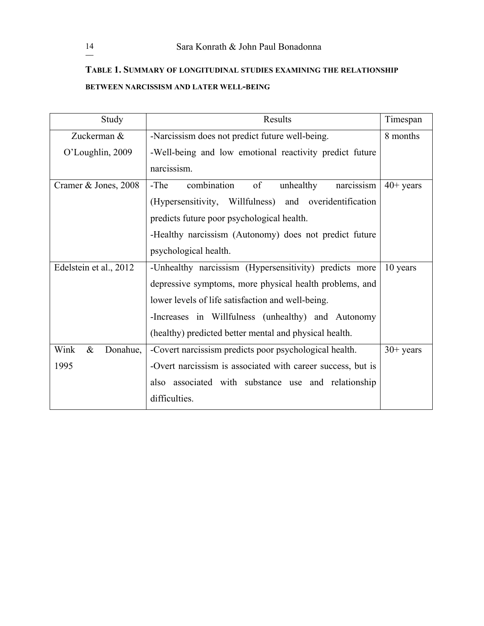### **TABLE 1. SUMMARY OF LONGITUDINAL STUDIES EXAMINING THE RELATIONSHIP BETWEEN NARCISSISM AND LATER WELL-BEING**

| Study                    | Results                                                     | Timespan    |
|--------------------------|-------------------------------------------------------------|-------------|
| Zuckerman &              | -Narcissism does not predict future well-being.             | 8 months    |
| O'Loughlin, 2009         | -Well-being and low emotional reactivity predict future     |             |
|                          | narcissism.                                                 |             |
| Cramer & Jones, 2008     | combination<br>of<br>unhealthy<br>-The<br>narcissism        | $40+$ years |
|                          | (Hypersensitivity, Willfulness) and overidentification      |             |
|                          | predicts future poor psychological health.                  |             |
|                          | -Healthy narcissism (Autonomy) does not predict future      |             |
|                          | psychological health.                                       |             |
| Edelstein et al., 2012   | -Unhealthy narcissism (Hypersensitivity) predicts more      | 10 years    |
|                          | depressive symptoms, more physical health problems, and     |             |
|                          | lower levels of life satisfaction and well-being.           |             |
|                          | -Increases in Willfulness (unhealthy) and Autonomy          |             |
|                          | (healthy) predicted better mental and physical health.      |             |
| Wink<br>$\&$<br>Donahue, | -Covert narcissism predicts poor psychological health.      | $30+$ years |
| 1995                     | -Overt narcissism is associated with career success, but is |             |
|                          | also associated with substance use and relationship         |             |
|                          | difficulties.                                               |             |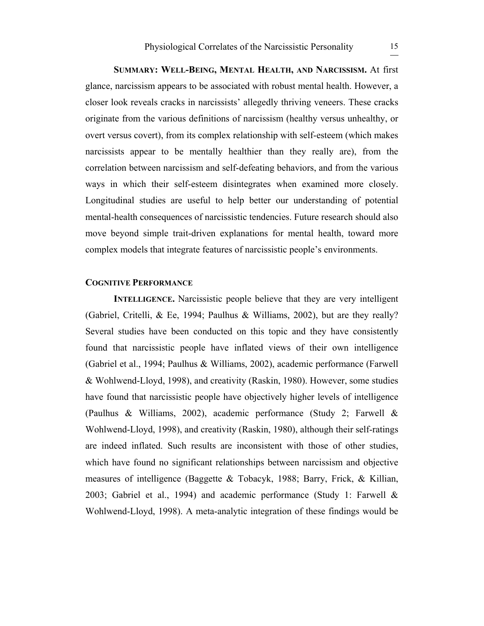**SUMMARY: WELL-BEING, MENTAL HEALTH, AND NARCISSISM.** At first glance, narcissism appears to be associated with robust mental health. However, a closer look reveals cracks in narcissists' allegedly thriving veneers. These cracks originate from the various definitions of narcissism (healthy versus unhealthy, or overt versus covert), from its complex relationship with self-esteem (which makes narcissists appear to be mentally healthier than they really are), from the correlation between narcissism and self-defeating behaviors, and from the various ways in which their self-esteem disintegrates when examined more closely. Longitudinal studies are useful to help better our understanding of potential mental-health consequences of narcissistic tendencies. Future research should also move beyond simple trait-driven explanations for mental health, toward more complex models that integrate features of narcissistic people's environments.

#### **COGNITIVE PERFORMANCE**

**INTELLIGENCE.** Narcissistic people believe that they are very intelligent (Gabriel, Critelli, & Ee, 1994; Paulhus & Williams, 2002), but are they really? Several studies have been conducted on this topic and they have consistently found that narcissistic people have inflated views of their own intelligence (Gabriel et al., 1994; Paulhus & Williams, 2002), academic performance (Farwell & Wohlwend-Lloyd, 1998), and creativity (Raskin, 1980). However, some studies have found that narcissistic people have objectively higher levels of intelligence (Paulhus & Williams, 2002), academic performance (Study 2; Farwell & Wohlwend-Lloyd, 1998), and creativity (Raskin, 1980), although their self-ratings are indeed inflated. Such results are inconsistent with those of other studies, which have found no significant relationships between narcissism and objective measures of intelligence (Baggette & Tobacyk, 1988; Barry, Frick, & Killian, 2003; Gabriel et al., 1994) and academic performance (Study 1: Farwell & Wohlwend-Lloyd, 1998). A meta-analytic integration of these findings would be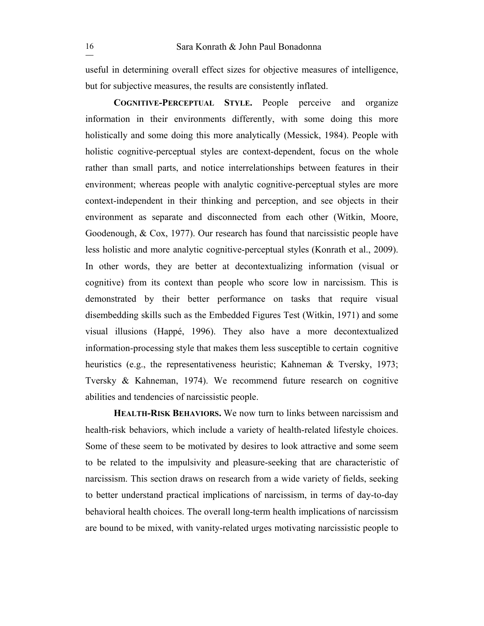useful in determining overall effect sizes for objective measures of intelligence, but for subjective measures, the results are consistently inflated.

**COGNITIVE-PERCEPTUAL STYLE.** People perceive and organize information in their environments differently, with some doing this more holistically and some doing this more analytically (Messick, 1984). People with holistic cognitive-perceptual styles are context-dependent, focus on the whole rather than small parts, and notice interrelationships between features in their environment; whereas people with analytic cognitive-perceptual styles are more context-independent in their thinking and perception, and see objects in their environment as separate and disconnected from each other (Witkin, Moore, Goodenough, & Cox, 1977). Our research has found that narcissistic people have less holistic and more analytic cognitive-perceptual styles (Konrath et al., 2009). In other words, they are better at decontextualizing information (visual or cognitive) from its context than people who score low in narcissism. This is demonstrated by their better performance on tasks that require visual disembedding skills such as the Embedded Figures Test (Witkin, 1971) and some visual illusions (Happé, 1996). They also have a more decontextualized information-processing style that makes them less susceptible to certain cognitive heuristics (e.g., the representativeness heuristic; Kahneman & Tversky, 1973; Tversky & Kahneman, 1974). We recommend future research on cognitive abilities and tendencies of narcissistic people.

**HEALTH-RISK BEHAVIORS.** We now turn to links between narcissism and health-risk behaviors, which include a variety of health-related lifestyle choices. Some of these seem to be motivated by desires to look attractive and some seem to be related to the impulsivity and pleasure-seeking that are characteristic of narcissism. This section draws on research from a wide variety of fields, seeking to better understand practical implications of narcissism, in terms of day-to-day behavioral health choices. The overall long-term health implications of narcissism are bound to be mixed, with vanity-related urges motivating narcissistic people to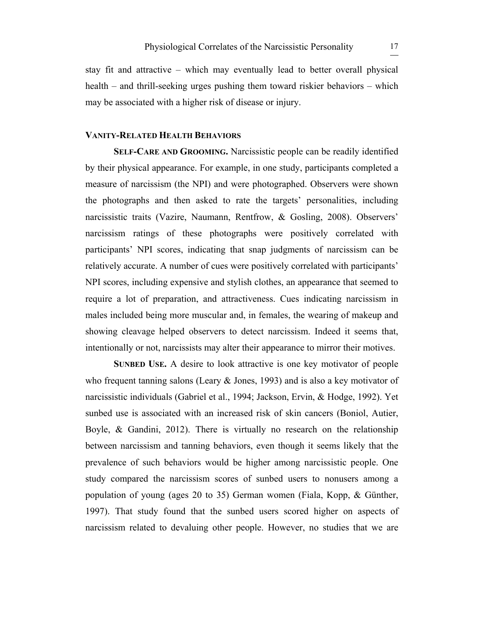stay fit and attractive – which may eventually lead to better overall physical health – and thrill-seeking urges pushing them toward riskier behaviors – which may be associated with a higher risk of disease or injury.

#### **VANITY-RELATED HEALTH BEHAVIORS**

**SELF-CARE AND GROOMING.** Narcissistic people can be readily identified by their physical appearance. For example, in one study, participants completed a measure of narcissism (the NPI) and were photographed. Observers were shown the photographs and then asked to rate the targets' personalities, including narcissistic traits (Vazire, Naumann, Rentfrow, & Gosling, 2008). Observers' narcissism ratings of these photographs were positively correlated with participants' NPI scores, indicating that snap judgments of narcissism can be relatively accurate. A number of cues were positively correlated with participants' NPI scores, including expensive and stylish clothes, an appearance that seemed to require a lot of preparation, and attractiveness. Cues indicating narcissism in males included being more muscular and, in females, the wearing of makeup and showing cleavage helped observers to detect narcissism. Indeed it seems that, intentionally or not, narcissists may alter their appearance to mirror their motives.

**SUNBED USE.** A desire to look attractive is one key motivator of people who frequent tanning salons (Leary  $& Jones, 1993$ ) and is also a key motivator of narcissistic individuals (Gabriel et al., 1994; Jackson, Ervin, & Hodge, 1992). Yet sunbed use is associated with an increased risk of skin cancers (Boniol, Autier, Boyle, & Gandini, 2012). There is virtually no research on the relationship between narcissism and tanning behaviors, even though it seems likely that the prevalence of such behaviors would be higher among narcissistic people. One study compared the narcissism scores of sunbed users to nonusers among a population of young (ages 20 to 35) German women (Fiala, Kopp, & Günther, 1997). That study found that the sunbed users scored higher on aspects of narcissism related to devaluing other people. However, no studies that we are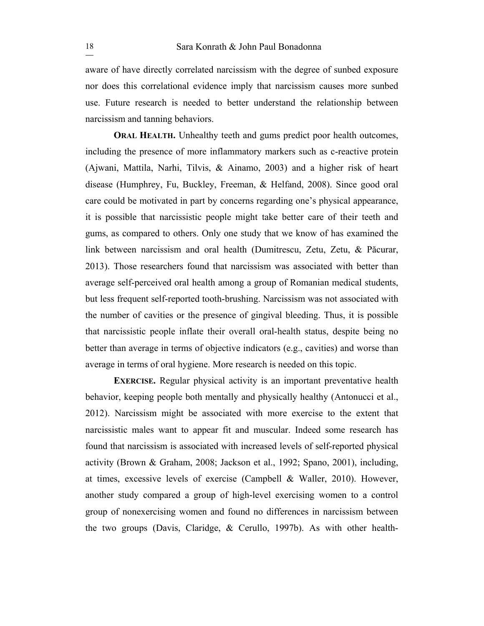aware of have directly correlated narcissism with the degree of sunbed exposure nor does this correlational evidence imply that narcissism causes more sunbed use. Future research is needed to better understand the relationship between narcissism and tanning behaviors.

**ORAL HEALTH.** Unhealthy teeth and gums predict poor health outcomes, including the presence of more inflammatory markers such as c-reactive protein (Ajwani, Mattila, Narhi, Tilvis, & Ainamo, 2003) and a higher risk of heart disease (Humphrey, Fu, Buckley, Freeman, & Helfand, 2008). Since good oral care could be motivated in part by concerns regarding one's physical appearance, it is possible that narcissistic people might take better care of their teeth and gums, as compared to others. Only one study that we know of has examined the link between narcissism and oral health (Dumitrescu, Zetu, Zetu, & Păcurar, 2013). Those researchers found that narcissism was associated with better than average self-perceived oral health among a group of Romanian medical students, but less frequent self-reported tooth-brushing. Narcissism was not associated with the number of cavities or the presence of gingival bleeding. Thus, it is possible that narcissistic people inflate their overall oral-health status, despite being no better than average in terms of objective indicators (e.g., cavities) and worse than average in terms of oral hygiene. More research is needed on this topic.

**EXERCISE.** Regular physical activity is an important preventative health behavior, keeping people both mentally and physically healthy (Antonucci et al., 2012). Narcissism might be associated with more exercise to the extent that narcissistic males want to appear fit and muscular. Indeed some research has found that narcissism is associated with increased levels of self-reported physical activity (Brown & Graham, 2008; Jackson et al., 1992; Spano, 2001), including, at times, excessive levels of exercise (Campbell & Waller, 2010). However, another study compared a group of high-level exercising women to a control group of nonexercising women and found no differences in narcissism between the two groups (Davis, Claridge, & Cerullo, 1997b). As with other health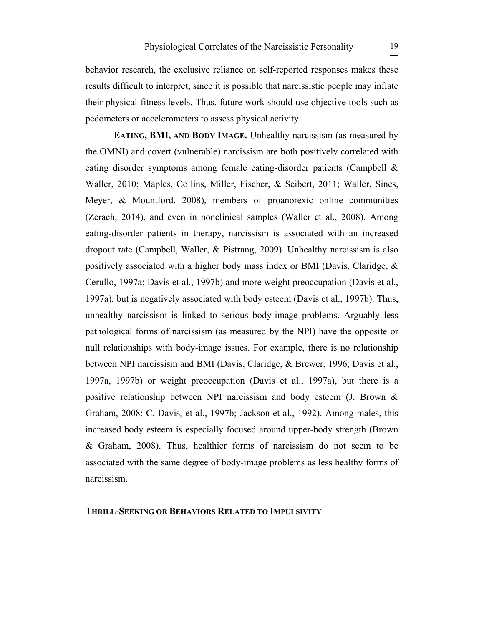behavior research, the exclusive reliance on self-reported responses makes these results difficult to interpret, since it is possible that narcissistic people may inflate their physical-fitness levels. Thus, future work should use objective tools such as pedometers or accelerometers to assess physical activity.

**EATING, BMI, AND BODY IMAGE.** Unhealthy narcissism (as measured by the OMNI) and covert (vulnerable) narcissism are both positively correlated with eating disorder symptoms among female eating-disorder patients (Campbell & Waller, 2010; Maples, Collins, Miller, Fischer, & Seibert, 2011; Waller, Sines, Meyer, & Mountford, 2008), members of proanorexic online communities (Zerach, 2014), and even in nonclinical samples (Waller et al., 2008). Among eating-disorder patients in therapy, narcissism is associated with an increased dropout rate (Campbell, Waller, & Pistrang, 2009). Unhealthy narcissism is also positively associated with a higher body mass index or BMI (Davis, Claridge,  $\&$ Cerullo, 1997a; Davis et al., 1997b) and more weight preoccupation (Davis et al., 1997a), but is negatively associated with body esteem (Davis et al., 1997b). Thus, unhealthy narcissism is linked to serious body-image problems. Arguably less pathological forms of narcissism (as measured by the NPI) have the opposite or null relationships with body-image issues. For example, there is no relationship between NPI narcissism and BMI (Davis, Claridge, & Brewer, 1996; Davis et al., 1997a, 1997b) or weight preoccupation (Davis et al., 1997a), but there is a positive relationship between NPI narcissism and body esteem (J. Brown & Graham, 2008; C. Davis, et al., 1997b; Jackson et al., 1992). Among males, this increased body esteem is especially focused around upper-body strength (Brown & Graham, 2008). Thus, healthier forms of narcissism do not seem to be associated with the same degree of body-image problems as less healthy forms of narcissism.

**THRILL-SEEKING OR BEHAVIORS RELATED TO IMPULSIVITY**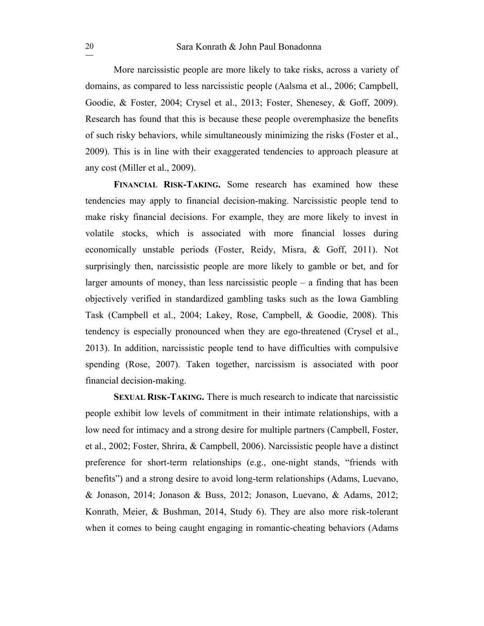More narcissistic people are more likely to take risks, across a variety of domains, as compared to less narcissistic people (Aalsma et al., 2006; Campbell, Goodie, & Foster, 2004; Crysel et al., 2013; Foster, Shenesey, & Goff, 2009). Research has found that this is because these people overemphasize the benefits of such risky behaviors, while simultaneously minimizing the risks (Foster et al., 2009). This is in line with their exaggerated tendencies to approach pleasure at any cost (Miller et al., 2009).

**FINANCIAL RISK-TAKING.** Some research has examined how these tendencies may apply to financial decision-making. Narcissistic people tend to make risky financial decisions. For example, they are more likely to invest in volatile stocks, which is associated with more financial losses during economically unstable periods (Foster, Reidy, Misra, & Goff, 2011). Not surprisingly then, narcissistic people are more likely to gamble or bet, and for larger amounts of money, than less narcissistic people – a finding that has been objectively verified in standardized gambling tasks such as the Iowa Gambling Task (Campbell et al., 2004; Lakey, Rose, Campbell, & Goodie, 2008). This tendency is especially pronounced when they are ego-threatened (Crysel et al., 2013). In addition, narcissistic people tend to have difficulties with compulsive spending (Rose, 2007). Taken together, narcissism is associated with poor financial decision-making.

**SEXUAL RISK-TAKING.** There is much research to indicate that narcissistic people exhibit low levels of commitment in their intimate relationships, with a low need for intimacy and a strong desire for multiple partners (Campbell, Foster, et al., 2002; Foster, Shrira, & Campbell, 2006). Narcissistic people have a distinct preference for short-term relationships (e.g., one-night stands, "friends with benefits") and a strong desire to avoid long-term relationships (Adams, Luevano, & Jonason, 2014; Jonason & Buss, 2012; Jonason, Luevano, & Adams, 2012; Konrath, Meier, & Bushman, 2014, Study 6). They are also more risk-tolerant when it comes to being caught engaging in romantic-cheating behaviors (Adams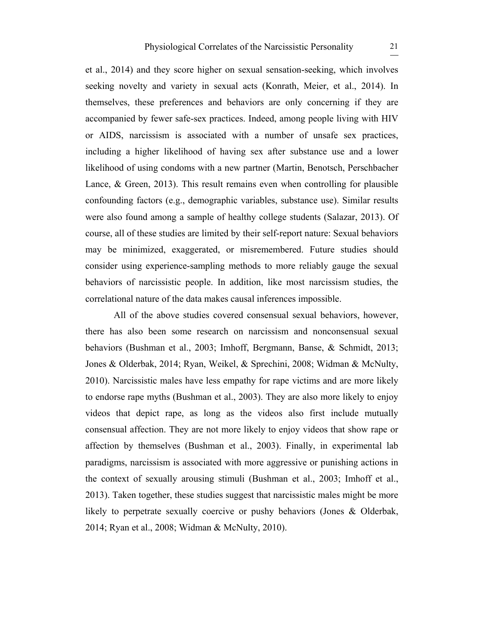et al., 2014) and they score higher on sexual sensation-seeking, which involves seeking novelty and variety in sexual acts (Konrath, Meier, et al., 2014). In themselves, these preferences and behaviors are only concerning if they are accompanied by fewer safe-sex practices. Indeed, among people living with HIV or AIDS, narcissism is associated with a number of unsafe sex practices, including a higher likelihood of having sex after substance use and a lower likelihood of using condoms with a new partner (Martin, Benotsch, Perschbacher Lance, & Green, 2013). This result remains even when controlling for plausible confounding factors (e.g., demographic variables, substance use). Similar results were also found among a sample of healthy college students (Salazar, 2013). Of course, all of these studies are limited by their self-report nature: Sexual behaviors may be minimized, exaggerated, or misremembered. Future studies should consider using experience-sampling methods to more reliably gauge the sexual behaviors of narcissistic people. In addition, like most narcissism studies, the correlational nature of the data makes causal inferences impossible.

All of the above studies covered consensual sexual behaviors, however, there has also been some research on narcissism and nonconsensual sexual behaviors (Bushman et al., 2003; Imhoff, Bergmann, Banse, & Schmidt, 2013; Jones & Olderbak, 2014; Ryan, Weikel, & Sprechini, 2008; Widman & McNulty, 2010). Narcissistic males have less empathy for rape victims and are more likely to endorse rape myths (Bushman et al., 2003). They are also more likely to enjoy videos that depict rape, as long as the videos also first include mutually consensual affection. They are not more likely to enjoy videos that show rape or affection by themselves (Bushman et al., 2003). Finally, in experimental lab paradigms, narcissism is associated with more aggressive or punishing actions in the context of sexually arousing stimuli (Bushman et al., 2003; Imhoff et al., 2013). Taken together, these studies suggest that narcissistic males might be more likely to perpetrate sexually coercive or pushy behaviors (Jones & Olderbak, 2014; Ryan et al., 2008; Widman & McNulty, 2010).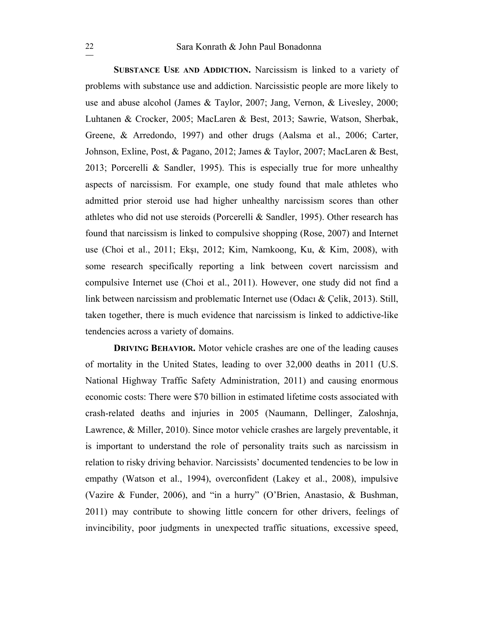**SUBSTANCE USE AND ADDICTION.** Narcissism is linked to a variety of problems with substance use and addiction. Narcissistic people are more likely to use and abuse alcohol (James & Taylor, 2007; Jang, Vernon, & Livesley, 2000; Luhtanen & Crocker, 2005; MacLaren & Best, 2013; Sawrie, Watson, Sherbak, Greene, & Arredondo, 1997) and other drugs (Aalsma et al., 2006; Carter, Johnson, Exline, Post, & Pagano, 2012; James & Taylor, 2007; MacLaren & Best, 2013; Porcerelli & Sandler, 1995). This is especially true for more unhealthy aspects of narcissism. For example, one study found that male athletes who admitted prior steroid use had higher unhealthy narcissism scores than other athletes who did not use steroids (Porcerelli & Sandler, 1995). Other research has found that narcissism is linked to compulsive shopping (Rose, 2007) and Internet use (Choi et al., 2011; Ekşı, 2012; Kim, Namkoong, Ku, & Kim, 2008), with some research specifically reporting a link between covert narcissism and compulsive Internet use (Choi et al., 2011). However, one study did not find a link between narcissism and problematic Internet use (Odacı & Çelik, 2013). Still, taken together, there is much evidence that narcissism is linked to addictive-like tendencies across a variety of domains.

**DRIVING BEHAVIOR.** Motor vehicle crashes are one of the leading causes of mortality in the United States, leading to over 32,000 deaths in 2011 (U.S. National Highway Traffic Safety Administration, 2011) and causing enormous economic costs: There were \$70 billion in estimated lifetime costs associated with crash-related deaths and injuries in 2005 (Naumann, Dellinger, Zaloshnja, Lawrence, & Miller, 2010). Since motor vehicle crashes are largely preventable, it is important to understand the role of personality traits such as narcissism in relation to risky driving behavior. Narcissists' documented tendencies to be low in empathy (Watson et al., 1994), overconfident (Lakey et al., 2008), impulsive (Vazire & Funder, 2006), and "in a hurry" (O'Brien, Anastasio, & Bushman, 2011) may contribute to showing little concern for other drivers, feelings of invincibility, poor judgments in unexpected traffic situations, excessive speed,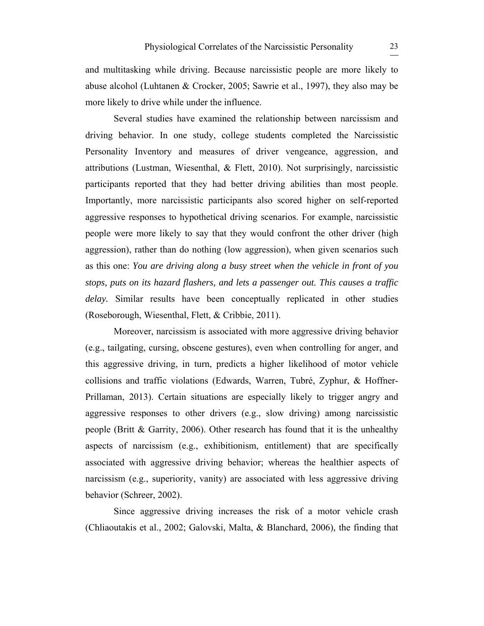and multitasking while driving. Because narcissistic people are more likely to abuse alcohol (Luhtanen & Crocker, 2005; Sawrie et al., 1997), they also may be more likely to drive while under the influence.

Several studies have examined the relationship between narcissism and driving behavior. In one study, college students completed the Narcissistic Personality Inventory and measures of driver vengeance, aggression, and attributions (Lustman, Wiesenthal, & Flett, 2010). Not surprisingly, narcissistic participants reported that they had better driving abilities than most people. Importantly, more narcissistic participants also scored higher on self-reported aggressive responses to hypothetical driving scenarios. For example, narcissistic people were more likely to say that they would confront the other driver (high aggression), rather than do nothing (low aggression), when given scenarios such as this one: *You are driving along a busy street when the vehicle in front of you stops, puts on its hazard flashers, and lets a passenger out. This causes a traffic delay.* Similar results have been conceptually replicated in other studies (Roseborough, Wiesenthal, Flett, & Cribbie, 2011).

Moreover, narcissism is associated with more aggressive driving behavior (e.g., tailgating, cursing, obscene gestures), even when controlling for anger, and this aggressive driving, in turn, predicts a higher likelihood of motor vehicle collisions and traffic violations (Edwards, Warren, Tubré, Zyphur, & Hoffner-Prillaman, 2013). Certain situations are especially likely to trigger angry and aggressive responses to other drivers (e.g., slow driving) among narcissistic people (Britt & Garrity, 2006). Other research has found that it is the unhealthy aspects of narcissism (e.g., exhibitionism, entitlement) that are specifically associated with aggressive driving behavior; whereas the healthier aspects of narcissism (e.g., superiority, vanity) are associated with less aggressive driving behavior (Schreer, 2002).

Since aggressive driving increases the risk of a motor vehicle crash (Chliaoutakis et al., 2002; Galovski, Malta, & Blanchard, 2006), the finding that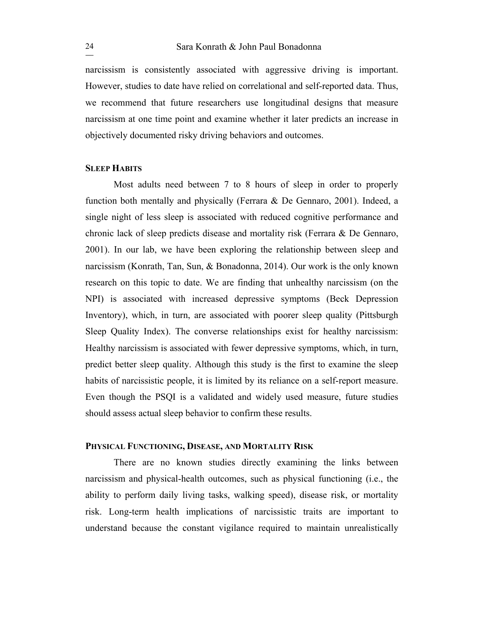narcissism is consistently associated with aggressive driving is important. However, studies to date have relied on correlational and self-reported data. Thus, we recommend that future researchers use longitudinal designs that measure narcissism at one time point and examine whether it later predicts an increase in objectively documented risky driving behaviors and outcomes.

#### **SLEEP HABITS**

Most adults need between 7 to 8 hours of sleep in order to properly function both mentally and physically (Ferrara & De Gennaro, 2001). Indeed, a single night of less sleep is associated with reduced cognitive performance and chronic lack of sleep predicts disease and mortality risk (Ferrara & De Gennaro, 2001). In our lab, we have been exploring the relationship between sleep and narcissism (Konrath, Tan, Sun, & Bonadonna, 2014). Our work is the only known research on this topic to date. We are finding that unhealthy narcissism (on the NPI) is associated with increased depressive symptoms (Beck Depression Inventory), which, in turn, are associated with poorer sleep quality (Pittsburgh Sleep Quality Index). The converse relationships exist for healthy narcissism: Healthy narcissism is associated with fewer depressive symptoms, which, in turn, predict better sleep quality. Although this study is the first to examine the sleep habits of narcissistic people, it is limited by its reliance on a self-report measure. Even though the PSQI is a validated and widely used measure, future studies should assess actual sleep behavior to confirm these results.

#### **PHYSICAL FUNCTIONING, DISEASE, AND MORTALITY RISK**

There are no known studies directly examining the links between narcissism and physical-health outcomes, such as physical functioning (i.e., the ability to perform daily living tasks, walking speed), disease risk, or mortality risk. Long-term health implications of narcissistic traits are important to understand because the constant vigilance required to maintain unrealistically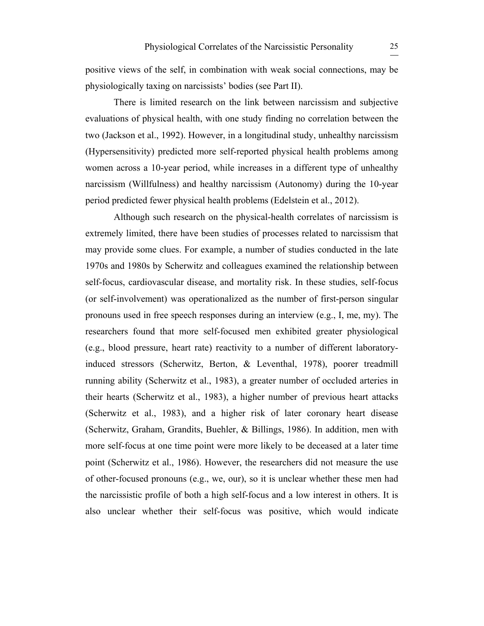positive views of the self, in combination with weak social connections, may be physiologically taxing on narcissists' bodies (see Part II).

There is limited research on the link between narcissism and subjective evaluations of physical health, with one study finding no correlation between the two (Jackson et al., 1992). However, in a longitudinal study, unhealthy narcissism (Hypersensitivity) predicted more self-reported physical health problems among women across a 10-year period, while increases in a different type of unhealthy narcissism (Willfulness) and healthy narcissism (Autonomy) during the 10-year period predicted fewer physical health problems (Edelstein et al., 2012).

Although such research on the physical-health correlates of narcissism is extremely limited, there have been studies of processes related to narcissism that may provide some clues. For example, a number of studies conducted in the late 1970s and 1980s by Scherwitz and colleagues examined the relationship between self-focus, cardiovascular disease, and mortality risk. In these studies, self-focus (or self-involvement) was operationalized as the number of first-person singular pronouns used in free speech responses during an interview (e.g., I, me, my). The researchers found that more self-focused men exhibited greater physiological (e.g., blood pressure, heart rate) reactivity to a number of different laboratoryinduced stressors (Scherwitz, Berton, & Leventhal, 1978), poorer treadmill running ability (Scherwitz et al., 1983), a greater number of occluded arteries in their hearts (Scherwitz et al., 1983), a higher number of previous heart attacks (Scherwitz et al., 1983), and a higher risk of later coronary heart disease (Scherwitz, Graham, Grandits, Buehler, & Billings, 1986). In addition, men with more self-focus at one time point were more likely to be deceased at a later time point (Scherwitz et al., 1986). However, the researchers did not measure the use of other-focused pronouns (e.g., we, our), so it is unclear whether these men had the narcissistic profile of both a high self-focus and a low interest in others. It is also unclear whether their self-focus was positive, which would indicate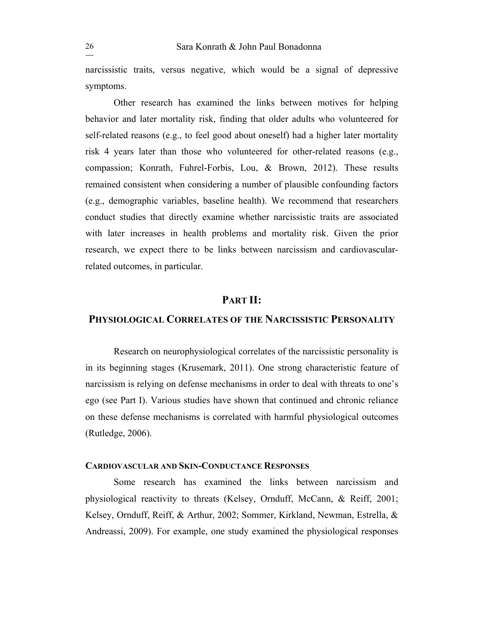narcissistic traits, versus negative, which would be a signal of depressive symptoms.

Other research has examined the links between motives for helping behavior and later mortality risk, finding that older adults who volunteered for self-related reasons (e.g., to feel good about oneself) had a higher later mortality risk 4 years later than those who volunteered for other-related reasons (e.g., compassion; Konrath, Fuhrel-Forbis, Lou, & Brown, 2012). These results remained consistent when considering a number of plausible confounding factors (e.g., demographic variables, baseline health). We recommend that researchers conduct studies that directly examine whether narcissistic traits are associated with later increases in health problems and mortality risk. Given the prior research, we expect there to be links between narcissism and cardiovascularrelated outcomes, in particular.

#### **PART II:**

#### **PHYSIOLOGICAL CORRELATES OF THE NARCISSISTIC PERSONALITY**

Research on neurophysiological correlates of the narcissistic personality is in its beginning stages (Krusemark, 2011). One strong characteristic feature of narcissism is relying on defense mechanisms in order to deal with threats to one's ego (see Part I). Various studies have shown that continued and chronic reliance on these defense mechanisms is correlated with harmful physiological outcomes (Rutledge, 2006).

#### **CARDIOVASCULAR AND SKIN-CONDUCTANCE RESPONSES**

Some research has examined the links between narcissism and physiological reactivity to threats (Kelsey, Ornduff, McCann, & Reiff, 2001; Kelsey, Ornduff, Reiff, & Arthur, 2002; Sommer, Kirkland, Newman, Estrella, & Andreassi, 2009). For example, one study examined the physiological responses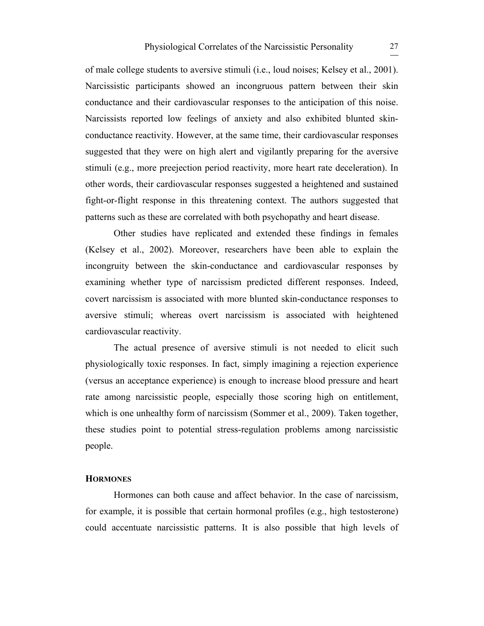of male college students to aversive stimuli (i.e., loud noises; Kelsey et al., 2001). Narcissistic participants showed an incongruous pattern between their skin conductance and their cardiovascular responses to the anticipation of this noise. Narcissists reported low feelings of anxiety and also exhibited blunted skinconductance reactivity. However, at the same time, their cardiovascular responses suggested that they were on high alert and vigilantly preparing for the aversive stimuli (e.g., more preejection period reactivity, more heart rate deceleration). In other words, their cardiovascular responses suggested a heightened and sustained fight-or-flight response in this threatening context. The authors suggested that patterns such as these are correlated with both psychopathy and heart disease.

Other studies have replicated and extended these findings in females (Kelsey et al., 2002). Moreover, researchers have been able to explain the incongruity between the skin-conductance and cardiovascular responses by examining whether type of narcissism predicted different responses. Indeed, covert narcissism is associated with more blunted skin-conductance responses to aversive stimuli; whereas overt narcissism is associated with heightened cardiovascular reactivity.

The actual presence of aversive stimuli is not needed to elicit such physiologically toxic responses. In fact, simply imagining a rejection experience (versus an acceptance experience) is enough to increase blood pressure and heart rate among narcissistic people, especially those scoring high on entitlement, which is one unhealthy form of narcissism (Sommer et al., 2009). Taken together, these studies point to potential stress-regulation problems among narcissistic people.

#### **HORMONES**

Hormones can both cause and affect behavior. In the case of narcissism, for example, it is possible that certain hormonal profiles (e.g., high testosterone) could accentuate narcissistic patterns. It is also possible that high levels of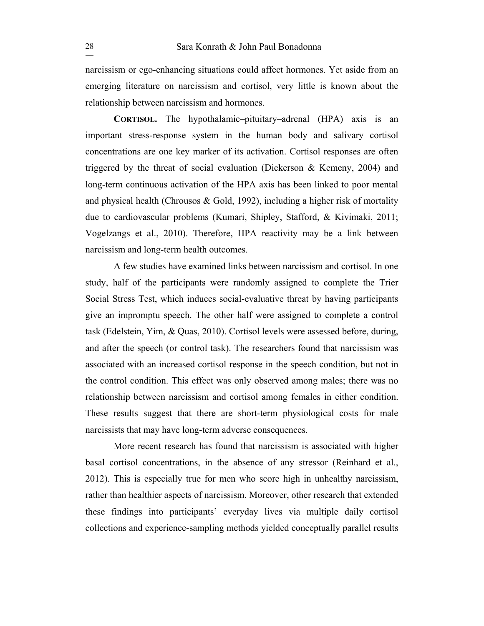narcissism or ego-enhancing situations could affect hormones. Yet aside from an emerging literature on narcissism and cortisol, very little is known about the relationship between narcissism and hormones.

**CORTISOL.** The hypothalamic–pituitary–adrenal (HPA) axis is an important stress-response system in the human body and salivary cortisol concentrations are one key marker of its activation. Cortisol responses are often triggered by the threat of social evaluation (Dickerson  $\&$  Kemeny, 2004) and long-term continuous activation of the HPA axis has been linked to poor mental and physical health (Chrousos  $\&$  Gold, 1992), including a higher risk of mortality due to cardiovascular problems (Kumari, Shipley, Stafford, & Kivimaki, 2011; Vogelzangs et al., 2010). Therefore, HPA reactivity may be a link between narcissism and long-term health outcomes.

A few studies have examined links between narcissism and cortisol. In one study, half of the participants were randomly assigned to complete the Trier Social Stress Test, which induces social-evaluative threat by having participants give an impromptu speech. The other half were assigned to complete a control task (Edelstein, Yim, & Quas, 2010). Cortisol levels were assessed before, during, and after the speech (or control task). The researchers found that narcissism was associated with an increased cortisol response in the speech condition, but not in the control condition. This effect was only observed among males; there was no relationship between narcissism and cortisol among females in either condition. These results suggest that there are short-term physiological costs for male narcissists that may have long-term adverse consequences.

More recent research has found that narcissism is associated with higher basal cortisol concentrations, in the absence of any stressor (Reinhard et al., 2012). This is especially true for men who score high in unhealthy narcissism, rather than healthier aspects of narcissism. Moreover, other research that extended these findings into participants' everyday lives via multiple daily cortisol collections and experience-sampling methods yielded conceptually parallel results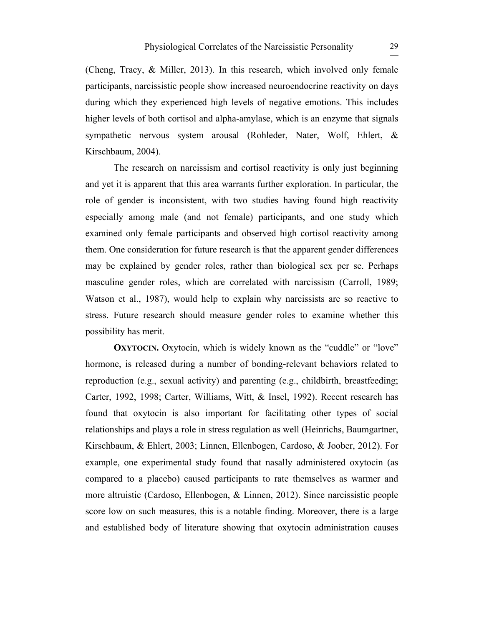(Cheng, Tracy, & Miller, 2013). In this research, which involved only female participants, narcissistic people show increased neuroendocrine reactivity on days during which they experienced high levels of negative emotions. This includes higher levels of both cortisol and alpha-amylase, which is an enzyme that signals sympathetic nervous system arousal (Rohleder, Nater, Wolf, Ehlert, & Kirschbaum, 2004).

The research on narcissism and cortisol reactivity is only just beginning and yet it is apparent that this area warrants further exploration. In particular, the role of gender is inconsistent, with two studies having found high reactivity especially among male (and not female) participants, and one study which examined only female participants and observed high cortisol reactivity among them. One consideration for future research is that the apparent gender differences may be explained by gender roles, rather than biological sex per se. Perhaps masculine gender roles, which are correlated with narcissism (Carroll, 1989; Watson et al., 1987), would help to explain why narcissists are so reactive to stress. Future research should measure gender roles to examine whether this possibility has merit.

**OXYTOCIN.** Oxytocin, which is widely known as the "cuddle" or "love" hormone, is released during a number of bonding-relevant behaviors related to reproduction (e.g., sexual activity) and parenting (e.g., childbirth, breastfeeding; Carter, 1992, 1998; Carter, Williams, Witt, & Insel, 1992). Recent research has found that oxytocin is also important for facilitating other types of social relationships and plays a role in stress regulation as well (Heinrichs, Baumgartner, Kirschbaum, & Ehlert, 2003; Linnen, Ellenbogen, Cardoso, & Joober, 2012). For example, one experimental study found that nasally administered oxytocin (as compared to a placebo) caused participants to rate themselves as warmer and more altruistic (Cardoso, Ellenbogen, & Linnen, 2012). Since narcissistic people score low on such measures, this is a notable finding. Moreover, there is a large and established body of literature showing that oxytocin administration causes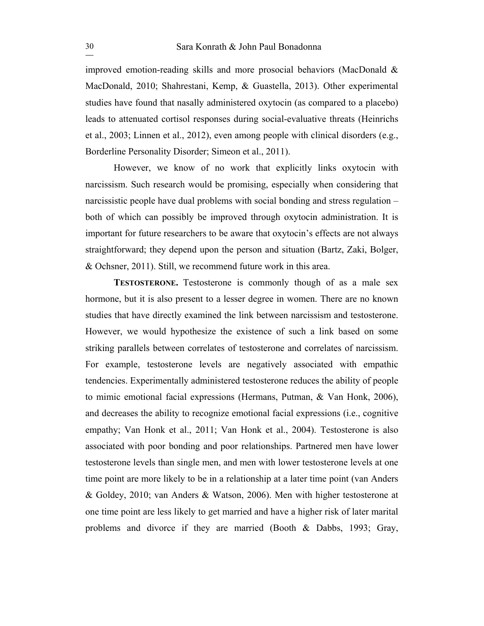improved emotion-reading skills and more prosocial behaviors (MacDonald & MacDonald, 2010; Shahrestani, Kemp, & Guastella, 2013). Other experimental studies have found that nasally administered oxytocin (as compared to a placebo) leads to attenuated cortisol responses during social-evaluative threats (Heinrichs et al., 2003; Linnen et al., 2012), even among people with clinical disorders (e.g., Borderline Personality Disorder; Simeon et al., 2011).

However, we know of no work that explicitly links oxytocin with narcissism. Such research would be promising, especially when considering that narcissistic people have dual problems with social bonding and stress regulation – both of which can possibly be improved through oxytocin administration. It is important for future researchers to be aware that oxytocin's effects are not always straightforward; they depend upon the person and situation (Bartz, Zaki, Bolger, & Ochsner, 2011). Still, we recommend future work in this area.

**TESTOSTERONE.** Testosterone is commonly though of as a male sex hormone, but it is also present to a lesser degree in women. There are no known studies that have directly examined the link between narcissism and testosterone. However, we would hypothesize the existence of such a link based on some striking parallels between correlates of testosterone and correlates of narcissism. For example, testosterone levels are negatively associated with empathic tendencies. Experimentally administered testosterone reduces the ability of people to mimic emotional facial expressions (Hermans, Putman, & Van Honk, 2006), and decreases the ability to recognize emotional facial expressions (i.e., cognitive empathy; Van Honk et al., 2011; Van Honk et al., 2004). Testosterone is also associated with poor bonding and poor relationships. Partnered men have lower testosterone levels than single men, and men with lower testosterone levels at one time point are more likely to be in a relationship at a later time point (van Anders & Goldey, 2010; van Anders & Watson, 2006). Men with higher testosterone at one time point are less likely to get married and have a higher risk of later marital problems and divorce if they are married (Booth & Dabbs, 1993; Gray,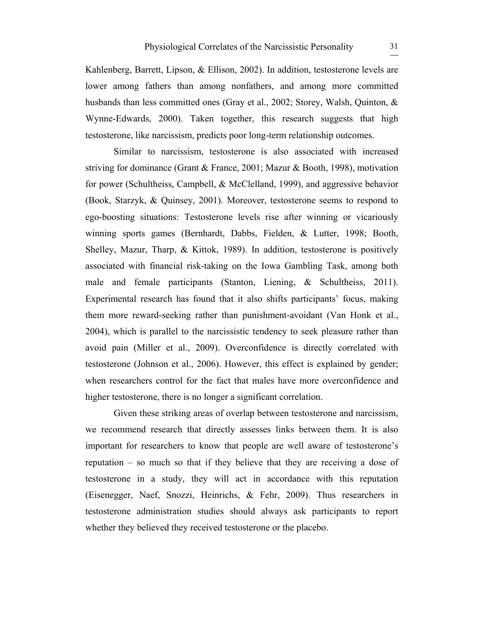Kahlenberg, Barrett, Lipson, & Ellison, 2002). In addition, testosterone levels are lower among fathers than among nonfathers, and among more committed husbands than less committed ones (Gray et al., 2002; Storey, Walsh, Quinton, & Wynne-Edwards, 2000). Taken together, this research suggests that high testosterone, like narcissism, predicts poor long-term relationship outcomes.

Similar to narcissism, testosterone is also associated with increased striving for dominance (Grant & France, 2001; Mazur & Booth, 1998), motivation for power (Schultheiss, Campbell, & McClelland, 1999), and aggressive behavior (Book, Starzyk, & Quinsey, 2001). Moreover, testosterone seems to respond to ego-boosting situations: Testosterone levels rise after winning or vicariously winning sports games (Bernhardt, Dabbs, Fielden, & Lutter, 1998; Booth, Shelley, Mazur, Tharp, & Kittok, 1989). In addition, testosterone is positively associated with financial risk-taking on the Iowa Gambling Task, among both male and female participants (Stanton, Liening, & Schultheiss, 2011). Experimental research has found that it also shifts participants' focus, making them more reward-seeking rather than punishment-avoidant (Van Honk et al., 2004), which is parallel to the narcissistic tendency to seek pleasure rather than avoid pain (Miller et al., 2009). Overconfidence is directly correlated with testosterone (Johnson et al., 2006). However, this effect is explained by gender; when researchers control for the fact that males have more overconfidence and higher testosterone, there is no longer a significant correlation.

Given these striking areas of overlap between testosterone and narcissism, we recommend research that directly assesses links between them. It is also important for researchers to know that people are well aware of testosterone's reputation – so much so that if they believe that they are receiving a dose of testosterone in a study, they will act in accordance with this reputation (Eisenegger, Naef, Snozzi, Heinrichs, & Fehr, 2009). Thus researchers in testosterone administration studies should always ask participants to report whether they believed they received testosterone or the placebo.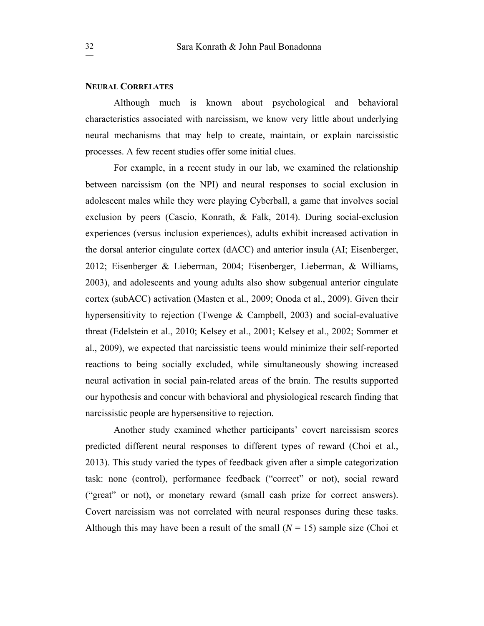#### **NEURAL CORRELATES**

Although much is known about psychological and behavioral characteristics associated with narcissism, we know very little about underlying neural mechanisms that may help to create, maintain, or explain narcissistic processes. A few recent studies offer some initial clues.

For example, in a recent study in our lab, we examined the relationship between narcissism (on the NPI) and neural responses to social exclusion in adolescent males while they were playing Cyberball, a game that involves social exclusion by peers (Cascio, Konrath, & Falk, 2014). During social-exclusion experiences (versus inclusion experiences), adults exhibit increased activation in the dorsal anterior cingulate cortex (dACC) and anterior insula (AI; Eisenberger, 2012; Eisenberger & Lieberman, 2004; Eisenberger, Lieberman, & Williams, 2003), and adolescents and young adults also show subgenual anterior cingulate cortex (subACC) activation (Masten et al., 2009; Onoda et al., 2009). Given their hypersensitivity to rejection (Twenge & Campbell, 2003) and social-evaluative threat (Edelstein et al., 2010; Kelsey et al., 2001; Kelsey et al., 2002; Sommer et al., 2009), we expected that narcissistic teens would minimize their self-reported reactions to being socially excluded, while simultaneously showing increased neural activation in social pain-related areas of the brain. The results supported our hypothesis and concur with behavioral and physiological research finding that narcissistic people are hypersensitive to rejection.

Another study examined whether participants' covert narcissism scores predicted different neural responses to different types of reward (Choi et al., 2013). This study varied the types of feedback given after a simple categorization task: none (control), performance feedback ("correct" or not), social reward ("great" or not), or monetary reward (small cash prize for correct answers). Covert narcissism was not correlated with neural responses during these tasks. Although this may have been a result of the small  $(N = 15)$  sample size (Choi et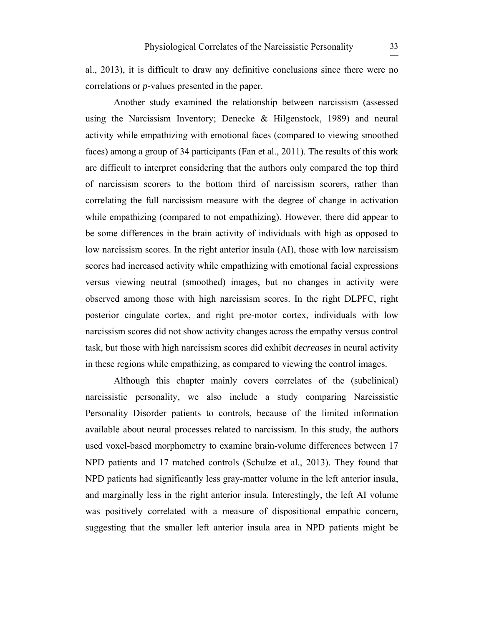al., 2013), it is difficult to draw any definitive conclusions since there were no correlations or *p*-values presented in the paper.

Another study examined the relationship between narcissism (assessed using the Narcissism Inventory; Denecke & Hilgenstock, 1989) and neural activity while empathizing with emotional faces (compared to viewing smoothed faces) among a group of 34 participants (Fan et al., 2011). The results of this work are difficult to interpret considering that the authors only compared the top third of narcissism scorers to the bottom third of narcissism scorers, rather than correlating the full narcissism measure with the degree of change in activation while empathizing (compared to not empathizing). However, there did appear to be some differences in the brain activity of individuals with high as opposed to low narcissism scores. In the right anterior insula (AI), those with low narcissism scores had increased activity while empathizing with emotional facial expressions versus viewing neutral (smoothed) images, but no changes in activity were observed among those with high narcissism scores. In the right DLPFC, right posterior cingulate cortex, and right pre-motor cortex, individuals with low narcissism scores did not show activity changes across the empathy versus control task, but those with high narcissism scores did exhibit *decreases* in neural activity in these regions while empathizing, as compared to viewing the control images.

Although this chapter mainly covers correlates of the (subclinical) narcissistic personality, we also include a study comparing Narcissistic Personality Disorder patients to controls, because of the limited information available about neural processes related to narcissism. In this study, the authors used voxel-based morphometry to examine brain-volume differences between 17 NPD patients and 17 matched controls (Schulze et al., 2013). They found that NPD patients had significantly less gray-matter volume in the left anterior insula, and marginally less in the right anterior insula. Interestingly, the left AI volume was positively correlated with a measure of dispositional empathic concern, suggesting that the smaller left anterior insula area in NPD patients might be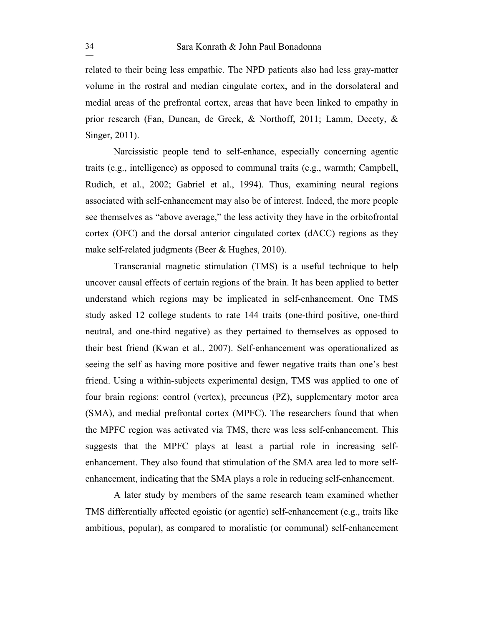related to their being less empathic. The NPD patients also had less gray-matter volume in the rostral and median cingulate cortex, and in the dorsolateral and medial areas of the prefrontal cortex, areas that have been linked to empathy in prior research (Fan, Duncan, de Greck, & Northoff, 2011; Lamm, Decety, & Singer, 2011).

Narcissistic people tend to self-enhance, especially concerning agentic traits (e.g., intelligence) as opposed to communal traits (e.g., warmth; Campbell, Rudich, et al., 2002; Gabriel et al., 1994). Thus, examining neural regions associated with self-enhancement may also be of interest. Indeed, the more people see themselves as "above average," the less activity they have in the orbitofrontal cortex (OFC) and the dorsal anterior cingulated cortex (dACC) regions as they make self-related judgments (Beer & Hughes, 2010).

Transcranial magnetic stimulation (TMS) is a useful technique to help uncover causal effects of certain regions of the brain. It has been applied to better understand which regions may be implicated in self-enhancement. One TMS study asked 12 college students to rate 144 traits (one-third positive, one-third neutral, and one-third negative) as they pertained to themselves as opposed to their best friend (Kwan et al., 2007). Self-enhancement was operationalized as seeing the self as having more positive and fewer negative traits than one's best friend. Using a within-subjects experimental design, TMS was applied to one of four brain regions: control (vertex), precuneus (PZ), supplementary motor area (SMA), and medial prefrontal cortex (MPFC). The researchers found that when the MPFC region was activated via TMS, there was less self-enhancement. This suggests that the MPFC plays at least a partial role in increasing selfenhancement. They also found that stimulation of the SMA area led to more selfenhancement, indicating that the SMA plays a role in reducing self-enhancement.

A later study by members of the same research team examined whether TMS differentially affected egoistic (or agentic) self-enhancement (e.g., traits like ambitious, popular), as compared to moralistic (or communal) self-enhancement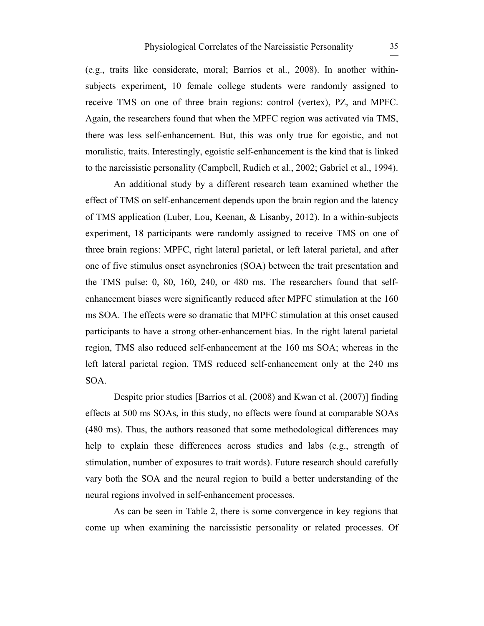(e.g., traits like considerate, moral; Barrios et al., 2008). In another withinsubjects experiment, 10 female college students were randomly assigned to receive TMS on one of three brain regions: control (vertex), PZ, and MPFC. Again, the researchers found that when the MPFC region was activated via TMS, there was less self-enhancement. But, this was only true for egoistic, and not moralistic, traits. Interestingly, egoistic self-enhancement is the kind that is linked to the narcissistic personality (Campbell, Rudich et al., 2002; Gabriel et al., 1994).

An additional study by a different research team examined whether the effect of TMS on self-enhancement depends upon the brain region and the latency of TMS application (Luber, Lou, Keenan, & Lisanby, 2012). In a within-subjects experiment, 18 participants were randomly assigned to receive TMS on one of three brain regions: MPFC, right lateral parietal, or left lateral parietal, and after one of five stimulus onset asynchronies (SOA) between the trait presentation and the TMS pulse: 0, 80, 160, 240, or 480 ms. The researchers found that selfenhancement biases were significantly reduced after MPFC stimulation at the 160 ms SOA. The effects were so dramatic that MPFC stimulation at this onset caused participants to have a strong other-enhancement bias. In the right lateral parietal region, TMS also reduced self-enhancement at the 160 ms SOA; whereas in the left lateral parietal region, TMS reduced self-enhancement only at the 240 ms SOA.

Despite prior studies [Barrios et al. (2008) and Kwan et al. (2007)] finding effects at 500 ms SOAs, in this study, no effects were found at comparable SOAs (480 ms). Thus, the authors reasoned that some methodological differences may help to explain these differences across studies and labs (e.g., strength of stimulation, number of exposures to trait words). Future research should carefully vary both the SOA and the neural region to build a better understanding of the neural regions involved in self-enhancement processes.

As can be seen in Table 2, there is some convergence in key regions that come up when examining the narcissistic personality or related processes. Of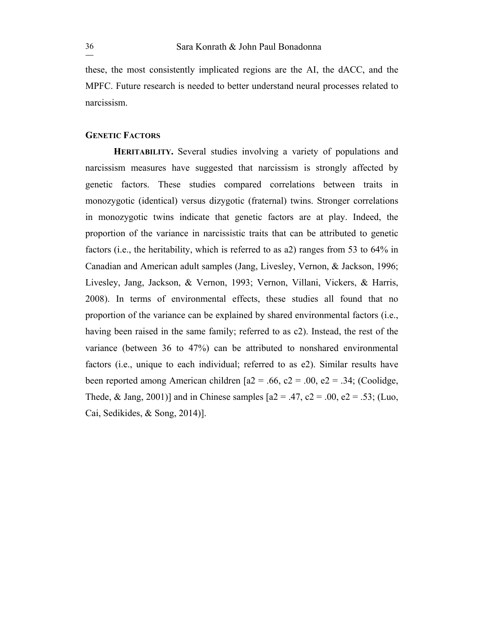these, the most consistently implicated regions are the AI, the dACC, and the MPFC. Future research is needed to better understand neural processes related to narcissism.

#### **GENETIC FACTORS**

**HERITABILITY.** Several studies involving a variety of populations and narcissism measures have suggested that narcissism is strongly affected by genetic factors. These studies compared correlations between traits in monozygotic (identical) versus dizygotic (fraternal) twins. Stronger correlations in monozygotic twins indicate that genetic factors are at play. Indeed, the proportion of the variance in narcissistic traits that can be attributed to genetic factors (i.e., the heritability, which is referred to as a2) ranges from 53 to 64% in Canadian and American adult samples (Jang, Livesley, Vernon, & Jackson, 1996; Livesley, Jang, Jackson, & Vernon, 1993; Vernon, Villani, Vickers, & Harris, 2008). In terms of environmental effects, these studies all found that no proportion of the variance can be explained by shared environmental factors (i.e., having been raised in the same family; referred to as c2). Instead, the rest of the variance (between 36 to 47%) can be attributed to nonshared environmental factors (i.e., unique to each individual; referred to as e2). Similar results have been reported among American children  $[a2 = .66, c2 = .00, e2 = .34;$  (Coolidge, Thede, & Jang, 2001)] and in Chinese samples  $[a2 = .47, c2 = .00, e2 = .53;$  (Luo, Cai, Sedikides, & Song, 2014)].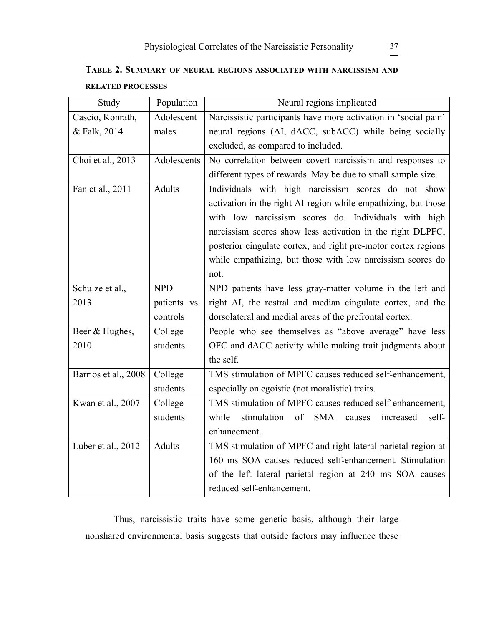| <b>OF INEURNE REQIONS ASSOCIATED WITH IMMODSHSM AND</b> |             |                                                                                                                                                                                                                                                                                                                                                                                     |  |  |  |
|---------------------------------------------------------|-------------|-------------------------------------------------------------------------------------------------------------------------------------------------------------------------------------------------------------------------------------------------------------------------------------------------------------------------------------------------------------------------------------|--|--|--|
| <b>RELATED PROCESSES</b>                                |             |                                                                                                                                                                                                                                                                                                                                                                                     |  |  |  |
| Study                                                   | Population  | Neural regions implicated                                                                                                                                                                                                                                                                                                                                                           |  |  |  |
| Cascio, Konrath,                                        | Adolescent  | Narcissistic participants have more activation in 'social pain'                                                                                                                                                                                                                                                                                                                     |  |  |  |
| & Falk, 2014                                            | males       | neural regions (AI, dACC, subACC) while being socially                                                                                                                                                                                                                                                                                                                              |  |  |  |
|                                                         |             | excluded, as compared to included.                                                                                                                                                                                                                                                                                                                                                  |  |  |  |
| Choi et al., 2013                                       | Adolescents | No correlation between covert narcissism and responses to                                                                                                                                                                                                                                                                                                                           |  |  |  |
|                                                         |             | different types of rewards. May be due to small sample size.                                                                                                                                                                                                                                                                                                                        |  |  |  |
| Fan et al., 2011                                        | Adults      | Individuals with high narcissism scores do not show<br>activation in the right AI region while empathizing, but those<br>with low narcissism scores do. Individuals with high<br>narcissism scores show less activation in the right DLPFC,<br>posterior cingulate cortex, and right pre-motor cortex regions<br>while empathizing, but those with low narcissism scores do<br>not. |  |  |  |
| Schulze et al.,                                         | <b>NPD</b>  | NPD patients have less gray-matter volume in the left and                                                                                                                                                                                                                                                                                                                           |  |  |  |

### **TABLE 2. SUMMARY OF NEURAL REGIONS ASSOCIATED WITH NARCISSISM AND RELATED PROCESSES**

| 2013                 | patients vs.  | right AI, the rostral and median cingulate cortex, and the          |
|----------------------|---------------|---------------------------------------------------------------------|
|                      | controls      | dorsolateral and medial areas of the prefrontal cortex.             |
| Beer & Hughes,       | College       | People who see themselves as "above average" have less              |
| 2010                 | students      | OFC and dACC activity while making trait judgments about            |
|                      |               | the self.                                                           |
| Barrios et al., 2008 | College       | TMS stimulation of MPFC causes reduced self-enhancement,            |
|                      | students      | especially on egoistic (not moralistic) traits.                     |
| Kwan et al., 2007    | College       | TMS stimulation of MPFC causes reduced self-enhancement,            |
|                      | students      | stimulation<br>self-<br>while<br>SMA<br>- of<br>increased<br>causes |
|                      |               | enhancement.                                                        |
| Luber et al., 2012   | <b>Adults</b> | TMS stimulation of MPFC and right lateral parietal region at        |
|                      |               | 160 ms SOA causes reduced self-enhancement. Stimulation             |
|                      |               | of the left lateral parietal region at 240 ms SOA causes            |
|                      |               | reduced self-enhancement.                                           |

Thus, narcissistic traits have some genetic basis, although their large nonshared environmental basis suggests that outside factors may influence these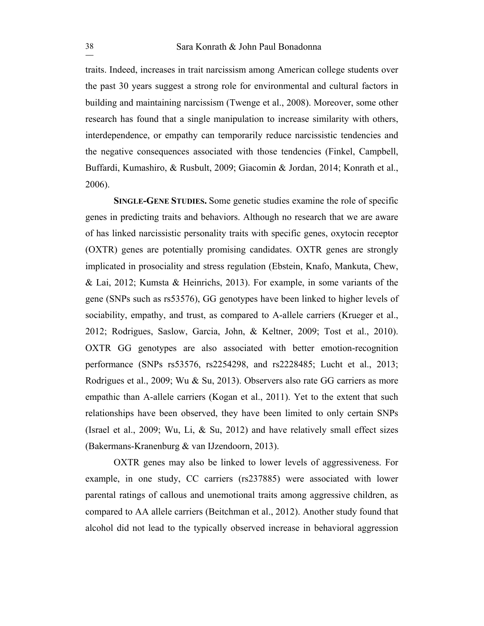traits. Indeed, increases in trait narcissism among American college students over the past 30 years suggest a strong role for environmental and cultural factors in building and maintaining narcissism (Twenge et al., 2008). Moreover, some other research has found that a single manipulation to increase similarity with others, interdependence, or empathy can temporarily reduce narcissistic tendencies and the negative consequences associated with those tendencies (Finkel, Campbell, Buffardi, Kumashiro, & Rusbult, 2009; Giacomin & Jordan, 2014; Konrath et al., 2006).

**SINGLE-GENE STUDIES.** Some genetic studies examine the role of specific genes in predicting traits and behaviors. Although no research that we are aware of has linked narcissistic personality traits with specific genes, oxytocin receptor (OXTR) genes are potentially promising candidates. OXTR genes are strongly implicated in prosociality and stress regulation (Ebstein, Knafo, Mankuta, Chew, & Lai, 2012; Kumsta & Heinrichs, 2013). For example, in some variants of the gene (SNPs such as rs53576), GG genotypes have been linked to higher levels of sociability, empathy, and trust, as compared to A-allele carriers (Krueger et al., 2012; Rodrigues, Saslow, Garcia, John, & Keltner, 2009; Tost et al., 2010). OXTR GG genotypes are also associated with better emotion-recognition performance (SNPs rs53576, rs2254298, and rs2228485; Lucht et al., 2013; Rodrigues et al., 2009; Wu & Su, 2013). Observers also rate GG carriers as more empathic than A-allele carriers (Kogan et al., 2011). Yet to the extent that such relationships have been observed, they have been limited to only certain SNPs (Israel et al., 2009; Wu, Li, & Su, 2012) and have relatively small effect sizes (Bakermans-Kranenburg & van IJzendoorn, 2013).

OXTR genes may also be linked to lower levels of aggressiveness. For example, in one study, CC carriers (rs237885) were associated with lower parental ratings of callous and unemotional traits among aggressive children, as compared to AA allele carriers (Beitchman et al., 2012). Another study found that alcohol did not lead to the typically observed increase in behavioral aggression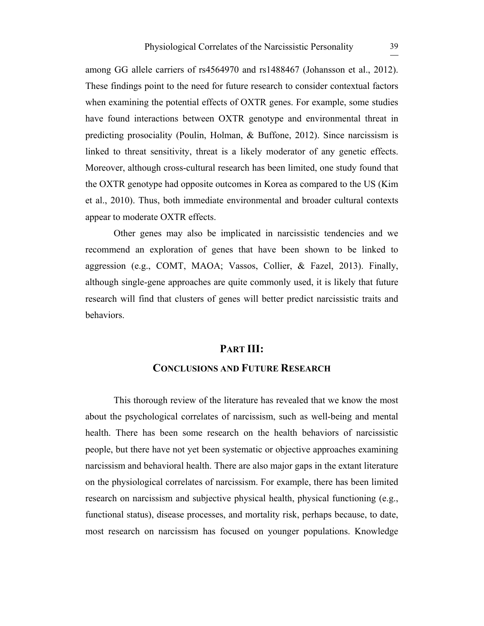among GG allele carriers of rs4564970 and rs1488467 (Johansson et al., 2012). These findings point to the need for future research to consider contextual factors when examining the potential effects of OXTR genes. For example, some studies have found interactions between OXTR genotype and environmental threat in predicting prosociality (Poulin, Holman, & Buffone, 2012). Since narcissism is linked to threat sensitivity, threat is a likely moderator of any genetic effects. Moreover, although cross-cultural research has been limited, one study found that the OXTR genotype had opposite outcomes in Korea as compared to the US (Kim et al., 2010). Thus, both immediate environmental and broader cultural contexts appear to moderate OXTR effects.

Other genes may also be implicated in narcissistic tendencies and we recommend an exploration of genes that have been shown to be linked to aggression (e.g., COMT, MAOA; Vassos, Collier, & Fazel, 2013). Finally, although single-gene approaches are quite commonly used, it is likely that future research will find that clusters of genes will better predict narcissistic traits and behaviors.

## **PART III: CONCLUSIONS AND FUTURE RESEARCH**

This thorough review of the literature has revealed that we know the most about the psychological correlates of narcissism, such as well-being and mental health. There has been some research on the health behaviors of narcissistic people, but there have not yet been systematic or objective approaches examining narcissism and behavioral health. There are also major gaps in the extant literature on the physiological correlates of narcissism. For example, there has been limited research on narcissism and subjective physical health, physical functioning (e.g., functional status), disease processes, and mortality risk, perhaps because, to date, most research on narcissism has focused on younger populations. Knowledge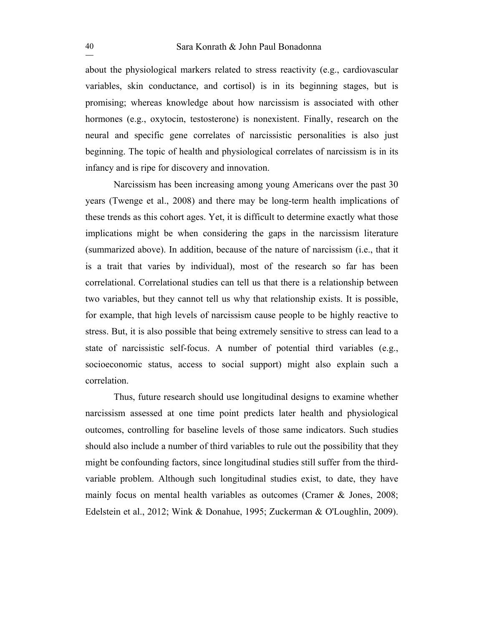about the physiological markers related to stress reactivity (e.g., cardiovascular variables, skin conductance, and cortisol) is in its beginning stages, but is promising; whereas knowledge about how narcissism is associated with other hormones (e.g., oxytocin, testosterone) is nonexistent. Finally, research on the neural and specific gene correlates of narcissistic personalities is also just beginning. The topic of health and physiological correlates of narcissism is in its infancy and is ripe for discovery and innovation.

Narcissism has been increasing among young Americans over the past 30 years (Twenge et al., 2008) and there may be long-term health implications of these trends as this cohort ages. Yet, it is difficult to determine exactly what those implications might be when considering the gaps in the narcissism literature (summarized above). In addition, because of the nature of narcissism (i.e., that it is a trait that varies by individual), most of the research so far has been correlational. Correlational studies can tell us that there is a relationship between two variables, but they cannot tell us why that relationship exists. It is possible, for example, that high levels of narcissism cause people to be highly reactive to stress. But, it is also possible that being extremely sensitive to stress can lead to a state of narcissistic self-focus. A number of potential third variables (e.g., socioeconomic status, access to social support) might also explain such a correlation.

Thus, future research should use longitudinal designs to examine whether narcissism assessed at one time point predicts later health and physiological outcomes, controlling for baseline levels of those same indicators. Such studies should also include a number of third variables to rule out the possibility that they might be confounding factors, since longitudinal studies still suffer from the thirdvariable problem. Although such longitudinal studies exist, to date, they have mainly focus on mental health variables as outcomes (Cramer & Jones, 2008; Edelstein et al., 2012; Wink & Donahue, 1995; Zuckerman & O'Loughlin, 2009).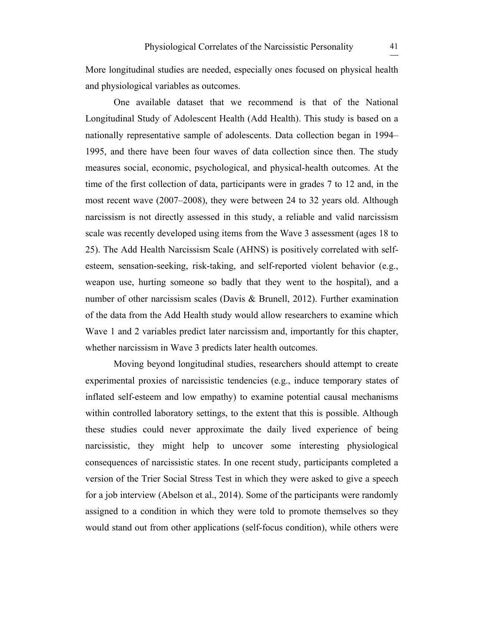More longitudinal studies are needed, especially ones focused on physical health and physiological variables as outcomes.

One available dataset that we recommend is that of the National Longitudinal Study of Adolescent Health (Add Health). This study is based on a nationally representative sample of adolescents. Data collection began in 1994– 1995, and there have been four waves of data collection since then. The study measures social, economic, psychological, and physical-health outcomes. At the time of the first collection of data, participants were in grades 7 to 12 and, in the most recent wave (2007–2008), they were between 24 to 32 years old. Although narcissism is not directly assessed in this study, a reliable and valid narcissism scale was recently developed using items from the Wave 3 assessment (ages 18 to 25). The Add Health Narcissism Scale (AHNS) is positively correlated with selfesteem, sensation-seeking, risk-taking, and self-reported violent behavior (e.g., weapon use, hurting someone so badly that they went to the hospital), and a number of other narcissism scales (Davis & Brunell, 2012). Further examination of the data from the Add Health study would allow researchers to examine which Wave 1 and 2 variables predict later narcissism and, importantly for this chapter, whether narcissism in Wave 3 predicts later health outcomes.

Moving beyond longitudinal studies, researchers should attempt to create experimental proxies of narcissistic tendencies (e.g., induce temporary states of inflated self-esteem and low empathy) to examine potential causal mechanisms within controlled laboratory settings, to the extent that this is possible. Although these studies could never approximate the daily lived experience of being narcissistic, they might help to uncover some interesting physiological consequences of narcissistic states. In one recent study, participants completed a version of the Trier Social Stress Test in which they were asked to give a speech for a job interview (Abelson et al., 2014). Some of the participants were randomly assigned to a condition in which they were told to promote themselves so they would stand out from other applications (self-focus condition), while others were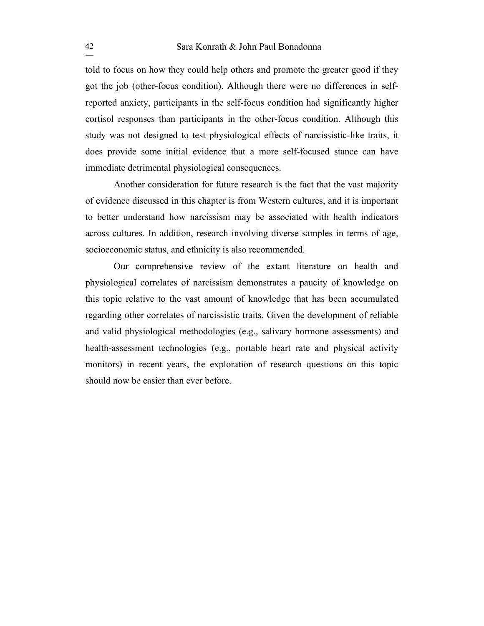told to focus on how they could help others and promote the greater good if they got the job (other-focus condition). Although there were no differences in selfreported anxiety, participants in the self-focus condition had significantly higher cortisol responses than participants in the other-focus condition. Although this study was not designed to test physiological effects of narcissistic-like traits, it does provide some initial evidence that a more self-focused stance can have immediate detrimental physiological consequences.

Another consideration for future research is the fact that the vast majority of evidence discussed in this chapter is from Western cultures, and it is important to better understand how narcissism may be associated with health indicators across cultures. In addition, research involving diverse samples in terms of age, socioeconomic status, and ethnicity is also recommended.

Our comprehensive review of the extant literature on health and physiological correlates of narcissism demonstrates a paucity of knowledge on this topic relative to the vast amount of knowledge that has been accumulated regarding other correlates of narcissistic traits. Given the development of reliable and valid physiological methodologies (e.g., salivary hormone assessments) and health-assessment technologies (e.g., portable heart rate and physical activity monitors) in recent years, the exploration of research questions on this topic should now be easier than ever before.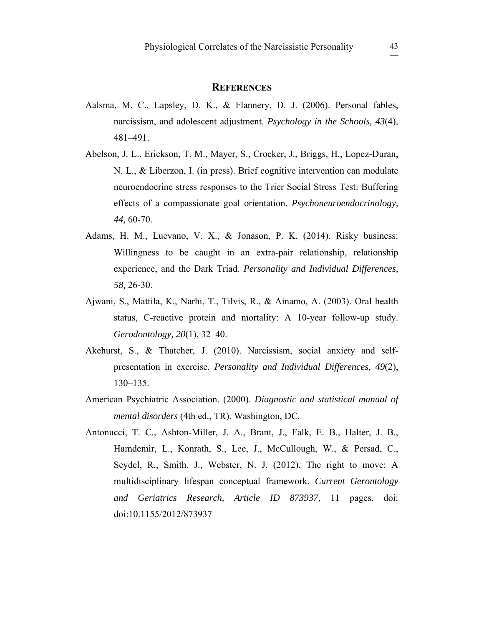#### **REFERENCES**

- Aalsma, M. C., Lapsley, D. K., & Flannery, D. J. (2006). Personal fables, narcissism, and adolescent adjustment. *Psychology in the Schools, 43*(4), 481–491.
- Abelson, J. L., Erickson, T. M., Mayer, S., Crocker, J., Briggs, H., Lopez-Duran, N. L., & Liberzon, I. (in press). Brief cognitive intervention can modulate neuroendocrine stress responses to the Trier Social Stress Test: Buffering effects of a compassionate goal orientation. *Psychoneuroendocrinology, 44,* 60-70.
- Adams, H. M., Luevano, V. X., & Jonason, P. K. (2014). Risky business: Willingness to be caught in an extra-pair relationship, relationship experience, and the Dark Triad. *Personality and Individual Differences, 58,* 26-30.
- Ajwani, S., Mattila, K., Narhi, T., Tilvis, R., & Ainamo, A. (2003). Oral health status, C-reactive protein and mortality: A 10-year follow-up study. *Gerodontology, 20*(1), 32–40.
- Akehurst, S., & Thatcher, J. (2010). Narcissism, social anxiety and selfpresentation in exercise. *Personality and Individual Differences, 49*(2), 130–135.
- American Psychiatric Association. (2000). *Diagnostic and statistical manual of mental disorders* (4th ed., TR). Washington, DC.
- Antonucci, T. C., Ashton-Miller, J. A., Brant, J., Falk, E. B., Halter, J. B., Hamdemir, L., Konrath, S., Lee, J., McCullough, W., & Persad, C., Seydel, R., Smith, J., Webster, N. J. (2012). The right to move: A multidisciplinary lifespan conceptual framework. *Current Gerontology and Geriatrics Research, Article ID 873937*, 11 pages. doi: doi:10.1155/2012/873937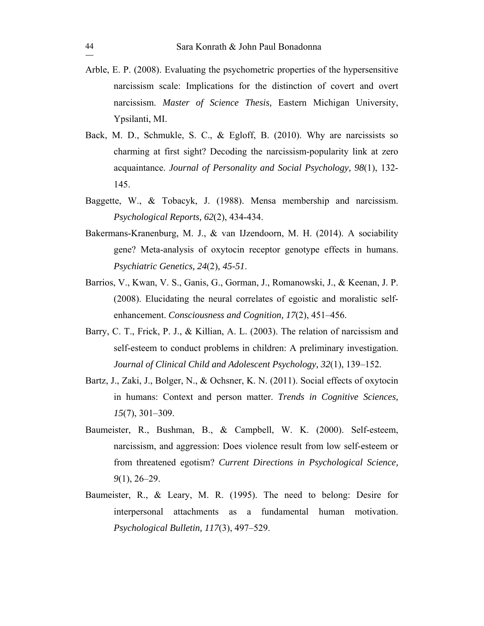- Arble, E. P. (2008). Evaluating the psychometric properties of the hypersensitive narcissism scale: Implications for the distinction of covert and overt narcissism. *Master of Science Thesis,* Eastern Michigan University, Ypsilanti, MI.
- Back, M. D., Schmukle, S. C., & Egloff, B. (2010). Why are narcissists so charming at first sight? Decoding the narcissism-popularity link at zero acquaintance. *Journal of Personality and Social Psychology, 98*(1), 132- 145.
- Baggette, W., & Tobacyk, J. (1988). Mensa membership and narcissism. *Psychological Reports, 62*(2), 434-434.
- Bakermans-Kranenburg, M. J., & van IJzendoorn, M. H. (2014). A sociability gene? Meta-analysis of oxytocin receptor genotype effects in humans. *Psychiatric Genetics, 24*(2)*, 45-51*.
- Barrios, V., Kwan, V. S., Ganis, G., Gorman, J., Romanowski, J., & Keenan, J. P. (2008). Elucidating the neural correlates of egoistic and moralistic selfenhancement. *Consciousness and Cognition, 17*(2), 451–456.
- Barry, C. T., Frick, P. J., & Killian, A. L. (2003). The relation of narcissism and self-esteem to conduct problems in children: A preliminary investigation. *Journal of Clinical Child and Adolescent Psychology, 32*(1), 139–152.
- Bartz, J., Zaki, J., Bolger, N., & Ochsner, K. N. (2011). Social effects of oxytocin in humans: Context and person matter. *Trends in Cognitive Sciences, 15*(7), 301–309.
- Baumeister, R., Bushman, B., & Campbell, W. K. (2000). Self-esteem, narcissism, and aggression: Does violence result from low self-esteem or from threatened egotism? *Current Directions in Psychological Science, 9*(1), 26–29.
- Baumeister, R., & Leary, M. R. (1995). The need to belong: Desire for interpersonal attachments as a fundamental human motivation. *Psychological Bulletin, 117*(3), 497–529.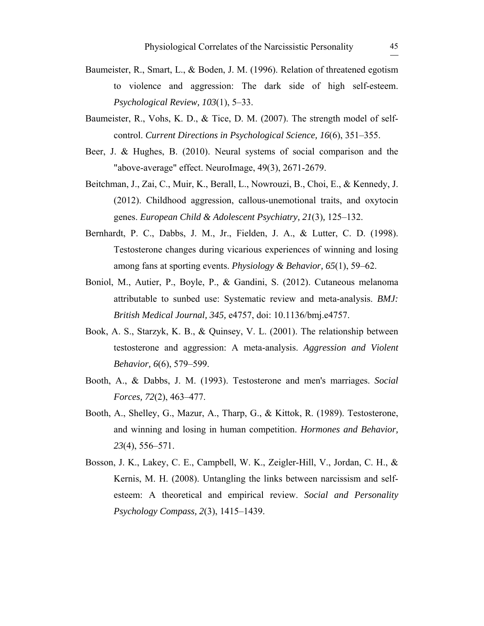- Baumeister, R., Smart, L., & Boden, J. M. (1996). Relation of threatened egotism to violence and aggression: The dark side of high self-esteem. *Psychological Review, 103*(1), 5–33.
- Baumeister, R., Vohs, K. D., & Tice, D. M. (2007). The strength model of selfcontrol. *Current Directions in Psychological Science, 16*(6), 351–355.
- Beer, J. & Hughes, B. (2010). Neural systems of social comparison and the "above-average" effect. NeuroImage, 49(3), 2671-2679.
- Beitchman, J., Zai, C., Muir, K., Berall, L., Nowrouzi, B., Choi, E., & Kennedy, J. (2012). Childhood aggression, callous-unemotional traits, and oxytocin genes. *European Child & Adolescent Psychiatry, 21*(3)*,* 125–132.
- Bernhardt, P. C., Dabbs, J. M., Jr., Fielden, J. A., & Lutter, C. D. (1998). Testosterone changes during vicarious experiences of winning and losing among fans at sporting events. *Physiology & Behavior, 65*(1), 59–62.
- Boniol, M., Autier, P., Boyle, P., & Gandini, S. (2012). Cutaneous melanoma attributable to sunbed use: Systematic review and meta-analysis. *BMJ: British Medical Journal, 345,* e4757, doi: 10.1136/bmj.e4757.
- Book, A. S., Starzyk, K. B., & Quinsey, V. L. (2001). The relationship between testosterone and aggression: A meta-analysis. *Aggression and Violent Behavior, 6*(6), 579–599.
- Booth, A., & Dabbs, J. M. (1993). Testosterone and men's marriages. *Social Forces, 72*(2), 463–477.
- Booth, A., Shelley, G., Mazur, A., Tharp, G., & Kittok, R. (1989). Testosterone, and winning and losing in human competition. *Hormones and Behavior, 23*(4), 556–571.
- Bosson, J. K., Lakey, C. E., Campbell, W. K., Zeigler-Hill, V., Jordan, C. H., & Kernis, M. H. (2008). Untangling the links between narcissism and selfesteem: A theoretical and empirical review. *Social and Personality Psychology Compass, 2*(3), 1415–1439.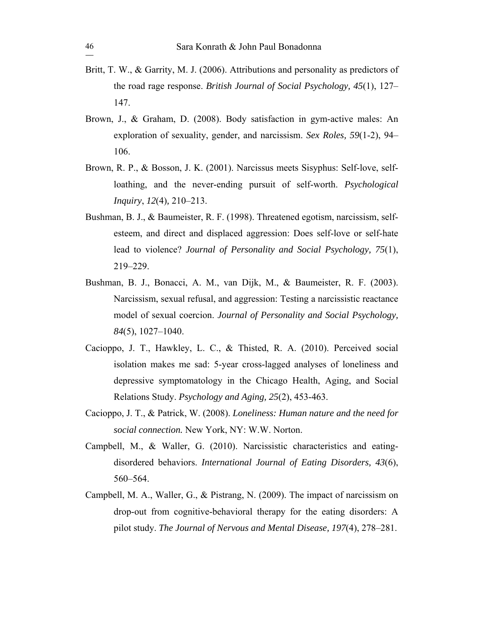- Britt, T. W., & Garrity, M. J. (2006). Attributions and personality as predictors of the road rage response. *British Journal of Social Psychology, 45*(1), 127– 147.
- Brown, J., & Graham, D. (2008). Body satisfaction in gym-active males: An exploration of sexuality, gender, and narcissism. *Sex Roles, 59*(1-2), 94– 106.
- Brown, R. P., & Bosson, J. K. (2001). Narcissus meets Sisyphus: Self-love, selfloathing, and the never-ending pursuit of self-worth. *Psychological Inquiry*, *12*(4)*,* 210–213.
- Bushman, B. J., & Baumeister, R. F. (1998). Threatened egotism, narcissism, selfesteem, and direct and displaced aggression: Does self-love or self-hate lead to violence? *Journal of Personality and Social Psychology, 75*(1), 219–229.
- Bushman, B. J., Bonacci, A. M., van Dijk, M., & Baumeister, R. F. (2003). Narcissism, sexual refusal, and aggression: Testing a narcissistic reactance model of sexual coercion. *Journal of Personality and Social Psychology, 84*(5), 1027–1040.
- Cacioppo, J. T., Hawkley, L. C., & Thisted, R. A. (2010). Perceived social isolation makes me sad: 5-year cross-lagged analyses of loneliness and depressive symptomatology in the Chicago Health, Aging, and Social Relations Study. *Psychology and Aging, 25*(2), 453-463.
- Cacioppo, J. T., & Patrick, W. (2008). *Loneliness: Human nature and the need for social connection.* New York, NY: W.W. Norton.
- Campbell, M., & Waller, G. (2010). Narcissistic characteristics and eatingdisordered behaviors. *International Journal of Eating Disorders, 43*(6), 560–564.
- Campbell, M. A., Waller, G., & Pistrang, N. (2009). The impact of narcissism on drop-out from cognitive-behavioral therapy for the eating disorders: A pilot study. *The Journal of Nervous and Mental Disease, 197*(4), 278–281.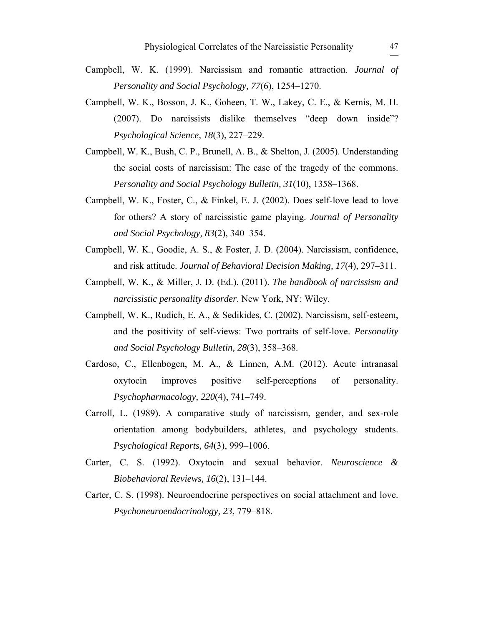- Campbell, W. K. (1999). Narcissism and romantic attraction. *Journal of Personality and Social Psychology, 77*(6), 1254–1270.
- Campbell, W. K., Bosson, J. K., Goheen, T. W., Lakey, C. E., & Kernis, M. H. (2007). Do narcissists dislike themselves "deep down inside"? *Psychological Science, 18*(3), 227–229.
- Campbell, W. K., Bush, C. P., Brunell, A. B., & Shelton, J. (2005). Understanding the social costs of narcissism: The case of the tragedy of the commons. *Personality and Social Psychology Bulletin, 31*(10), 1358–1368.
- Campbell, W. K., Foster, C., & Finkel, E. J. (2002). Does self-love lead to love for others? A story of narcissistic game playing. *Journal of Personality and Social Psychology, 83*(2), 340–354.
- Campbell, W. K., Goodie, A. S., & Foster, J. D. (2004). Narcissism, confidence, and risk attitude. *Journal of Behavioral Decision Making, 17*(4), 297–311.
- Campbell, W. K., & Miller, J. D. (Ed.). (2011). *The handbook of narcissism and narcissistic personality disorder*. New York, NY: Wiley.
- Campbell, W. K., Rudich, E. A., & Sedikides, C. (2002). Narcissism, self-esteem, and the positivity of self-views: Two portraits of self-love. *Personality and Social Psychology Bulletin, 28*(3), 358–368.
- Cardoso, C., Ellenbogen, M. A., & Linnen, A.M. (2012). Acute intranasal oxytocin improves positive self-perceptions of personality. *Psychopharmacology, 220*(4), 741–749.
- Carroll, L. (1989). A comparative study of narcissism, gender, and sex-role orientation among bodybuilders, athletes, and psychology students. *Psychological Reports, 64*(3), 999–1006.
- Carter, C. S. (1992). Oxytocin and sexual behavior. *Neuroscience & Biobehavioral Reviews, 16*(2), 131–144.
- Carter, C. S. (1998). Neuroendocrine perspectives on social attachment and love. *Psychoneuroendocrinology, 23*, 779–818.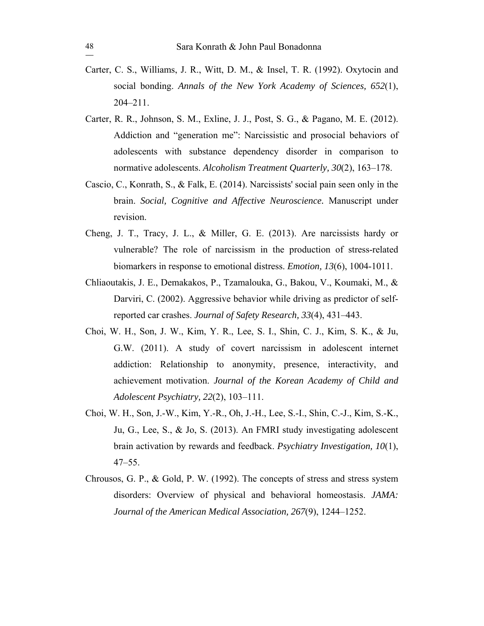- Carter, C. S., Williams, J. R., Witt, D. M., & Insel, T. R. (1992). Oxytocin and social bonding. *Annals of the New York Academy of Sciences, 652*(1), 204–211.
- Carter, R. R., Johnson, S. M., Exline, J. J., Post, S. G., & Pagano, M. E. (2012). Addiction and "generation me": Narcissistic and prosocial behaviors of adolescents with substance dependency disorder in comparison to normative adolescents. *Alcoholism Treatment Quarterly, 30*(2), 163–178.
- Cascio, C., Konrath, S., & Falk, E. (2014). Narcissists' social pain seen only in the brain. *Social, Cognitive and Affective Neuroscience.* Manuscript under revision.
- Cheng, J. T., Tracy, J. L., & Miller, G. E. (2013). Are narcissists hardy or vulnerable? The role of narcissism in the production of stress-related biomarkers in response to emotional distress. *Emotion, 13*(6), 1004-1011.
- Chliaoutakis, J. E., Demakakos, P., Tzamalouka, G., Bakou, V., Koumaki, M., & Darviri, C. (2002). Aggressive behavior while driving as predictor of selfreported car crashes. *Journal of Safety Research, 33*(4), 431–443.
- Choi, W. H., Son, J. W., Kim, Y. R., Lee, S. I., Shin, C. J., Kim, S. K., & Ju, G.W. (2011). A study of covert narcissism in adolescent internet addiction: Relationship to anonymity, presence, interactivity, and achievement motivation. *Journal of the Korean Academy of Child and Adolescent Psychiatry, 22*(2), 103–111.
- Choi, W. H., Son, J.-W., Kim, Y.-R., Oh, J.-H., Lee, S.-I., Shin, C.-J., Kim, S.-K., Ju, G., Lee, S., & Jo, S. (2013). An FMRI study investigating adolescent brain activation by rewards and feedback. *Psychiatry Investigation, 10*(1), 47–55.
- Chrousos, G. P., & Gold, P. W. (1992). The concepts of stress and stress system disorders: Overview of physical and behavioral homeostasis. *JAMA: Journal of the American Medical Association, 267*(9), 1244–1252.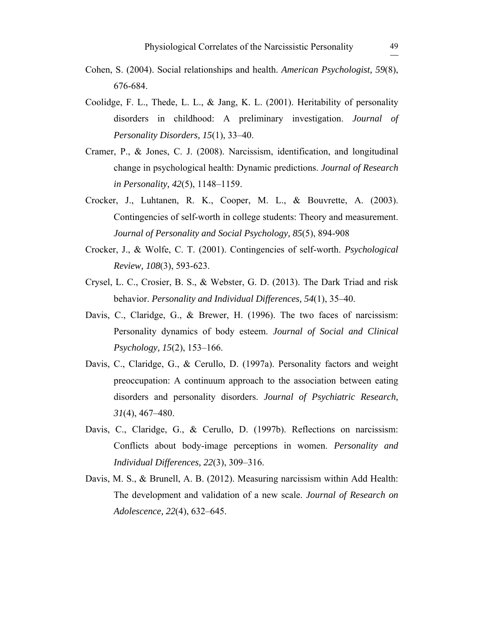- Cohen, S. (2004). Social relationships and health. *American Psychologist, 59*(8), 676-684.
- Coolidge, F. L., Thede, L. L., & Jang, K. L. (2001). Heritability of personality disorders in childhood: A preliminary investigation. *Journal of Personality Disorders, 15*(1), 33–40.
- Cramer, P., & Jones, C. J. (2008). Narcissism, identification, and longitudinal change in psychological health: Dynamic predictions. *Journal of Research in Personality, 42*(5), 1148–1159.
- Crocker, J., Luhtanen, R. K., Cooper, M. L., & Bouvrette, A. (2003). Contingencies of self-worth in college students: Theory and measurement. *Journal of Personality and Social Psychology, 85*(5), 894-908
- Crocker, J., & Wolfe, C. T. (2001). Contingencies of self-worth. *Psychological Review, 108*(3), 593-623.
- Crysel, L. C., Crosier, B. S., & Webster, G. D. (2013). The Dark Triad and risk behavior. *Personality and Individual Differences, 54*(1), 35–40.
- Davis, C., Claridge, G., & Brewer, H. (1996). The two faces of narcissism: Personality dynamics of body esteem. *Journal of Social and Clinical Psychology, 15*(2), 153–166.
- Davis, C., Claridge, G., & Cerullo, D. (1997a). Personality factors and weight preoccupation: A continuum approach to the association between eating disorders and personality disorders. *Journal of Psychiatric Research, 31*(4), 467–480.
- Davis, C., Claridge, G., & Cerullo, D. (1997b). Reflections on narcissism: Conflicts about body-image perceptions in women. *Personality and Individual Differences, 22*(3), 309–316.
- Davis, M. S., & Brunell, A. B. (2012). Measuring narcissism within Add Health: The development and validation of a new scale. *Journal of Research on Adolescence, 22*(4), 632–645.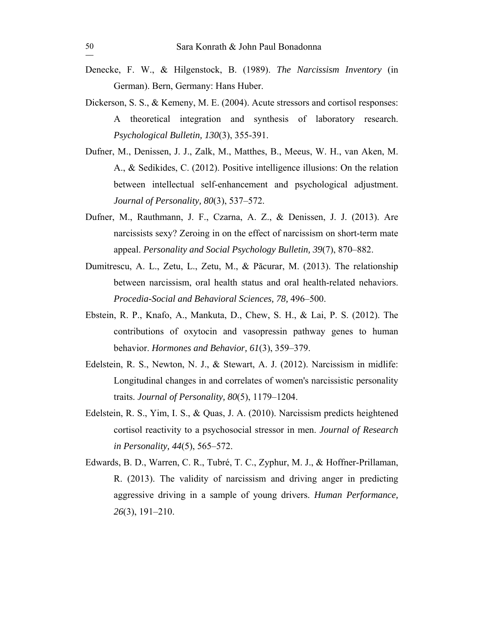- Denecke, F. W., & Hilgenstock, B. (1989). *The Narcissism Inventory* (in German). Bern, Germany: Hans Huber.
- Dickerson, S. S., & Kemeny, M. E. (2004). Acute stressors and cortisol responses: A theoretical integration and synthesis of laboratory research. *Psychological Bulletin, 130*(3), 355-391.
- Dufner, M., Denissen, J. J., Zalk, M., Matthes, B., Meeus, W. H., van Aken, M. A., & Sedikides, C. (2012). Positive intelligence illusions: On the relation between intellectual self-enhancement and psychological adjustment. *Journal of Personality, 80*(3), 537–572.
- Dufner, M., Rauthmann, J. F., Czarna, A. Z., & Denissen, J. J. (2013). Are narcissists sexy? Zeroing in on the effect of narcissism on short-term mate appeal. *Personality and Social Psychology Bulletin, 39*(7), 870–882.
- Dumitrescu, A. L., Zetu, L., Zetu, M., & Păcurar, M. (2013). The relationship between narcissism, oral health status and oral health-related nehaviors. *Procedia-Social and Behavioral Sciences, 78,* 496–500.
- Ebstein, R. P., Knafo, A., Mankuta, D., Chew, S. H., & Lai, P. S. (2012). The contributions of oxytocin and vasopressin pathway genes to human behavior. *Hormones and Behavior, 61*(3), 359–379.
- Edelstein, R. S., Newton, N. J., & Stewart, A. J. (2012). Narcissism in midlife: Longitudinal changes in and correlates of women's narcissistic personality traits. *Journal of Personality, 80*(5), 1179–1204.
- Edelstein, R. S., Yim, I. S., & Quas, J. A. (2010). Narcissism predicts heightened cortisol reactivity to a psychosocial stressor in men. *Journal of Research in Personality, 44*(5), 565–572.
- Edwards, B. D., Warren, C. R., Tubré, T. C., Zyphur, M. J., & Hoffner-Prillaman, R. (2013). The validity of narcissism and driving anger in predicting aggressive driving in a sample of young drivers. *Human Performance, 26*(3), 191–210.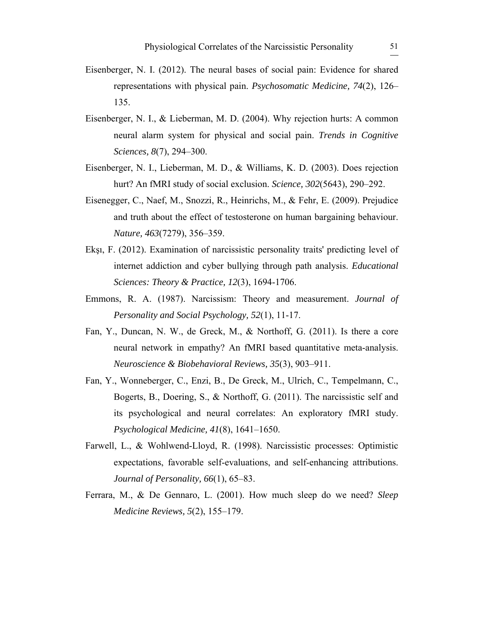- Eisenberger, N. I. (2012). The neural bases of social pain: Evidence for shared representations with physical pain. *Psychosomatic Medicine, 74*(2), 126– 135.
- Eisenberger, N. I., & Lieberman, M. D. (2004). Why rejection hurts: A common neural alarm system for physical and social pain. *Trends in Cognitive Sciences, 8*(7), 294–300.
- Eisenberger, N. I., Lieberman, M. D., & Williams, K. D. (2003). Does rejection hurt? An fMRI study of social exclusion. *Science, 302*(5643), 290–292.
- Eisenegger, C., Naef, M., Snozzi, R., Heinrichs, M., & Fehr, E. (2009). Prejudice and truth about the effect of testosterone on human bargaining behaviour. *Nature, 463*(7279), 356–359.
- Ekşı, F. (2012). Examination of narcissistic personality traits' predicting level of internet addiction and cyber bullying through path analysis. *Educational Sciences: Theory & Practice, 12*(3), 1694-1706.
- Emmons, R. A. (1987). Narcissism: Theory and measurement. *Journal of Personality and Social Psychology, 52*(1), 11-17.
- Fan, Y., Duncan, N. W., de Greck, M., & Northoff, G. (2011). Is there a core neural network in empathy? An fMRI based quantitative meta-analysis. *Neuroscience & Biobehavioral Reviews, 35*(3), 903–911.
- Fan, Y., Wonneberger, C., Enzi, B., De Greck, M., Ulrich, C., Tempelmann, C., Bogerts, B., Doering, S., & Northoff, G. (2011). The narcissistic self and its psychological and neural correlates: An exploratory fMRI study. *Psychological Medicine, 41*(8), 1641–1650.
- Farwell, L., & Wohlwend-Lloyd, R. (1998). Narcissistic processes: Optimistic expectations, favorable self-evaluations, and self-enhancing attributions. *Journal of Personality, 66*(1), 65–83.
- Ferrara, M., & De Gennaro, L. (2001). How much sleep do we need? *Sleep Medicine Reviews, 5*(2), 155–179.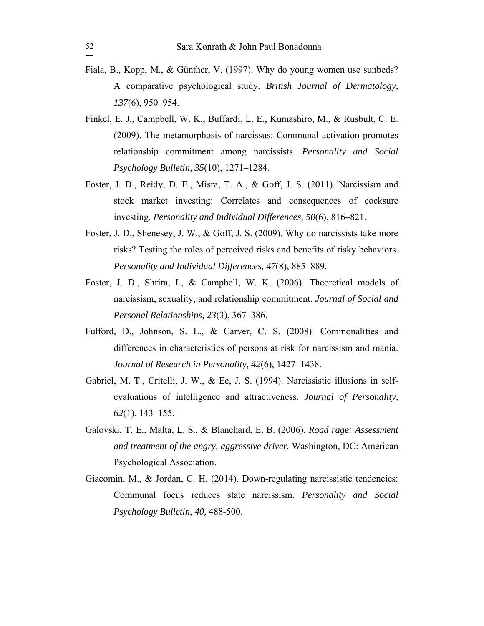- Fiala, B., Kopp, M., & Günther, V. (1997). Why do young women use sunbeds? A comparative psychological study. *British Journal of Dermatology, 137*(6), 950–954.
- Finkel, E. J., Campbell, W. K., Buffardi, L. E., Kumashiro, M., & Rusbult, C. E. (2009). The metamorphosis of narcissus: Communal activation promotes relationship commitment among narcissists. *Personality and Social Psychology Bulletin, 35*(10), 1271–1284.
- Foster, J. D., Reidy, D. E., Misra, T. A., & Goff, J. S. (2011). Narcissism and stock market investing: Correlates and consequences of cocksure investing. *Personality and Individual Differences, 50*(6), 816–821.
- Foster, J. D., Shenesey, J. W., & Goff, J. S. (2009). Why do narcissists take more risks? Testing the roles of perceived risks and benefits of risky behaviors. *Personality and Individual Differences, 47*(8), 885–889.
- Foster, J. D., Shrira, I., & Campbell, W. K. (2006). Theoretical models of narcissism, sexuality, and relationship commitment. *Journal of Social and Personal Relationships, 23*(3), 367–386.
- Fulford, D., Johnson, S. L., & Carver, C. S. (2008). Commonalities and differences in characteristics of persons at risk for narcissism and mania. *Journal of Research in Personality, 42*(6), 1427–1438.
- Gabriel, M. T., Critelli, J. W., & Ee, J. S. (1994). Narcissistic illusions in selfevaluations of intelligence and attractiveness. *Journal of Personality, 62*(1), 143–155.
- Galovski, T. E., Malta, L. S., & Blanchard, E. B. (2006). *Road rage: Assessment and treatment of the angry, aggressive driver.* Washington, DC: American Psychological Association.
- Giacomin, M., & Jordan, C. H. (2014). Down-regulating narcissistic tendencies: Communal focus reduces state narcissism. *Personality and Social Psychology Bulletin*, *40,* 488-500.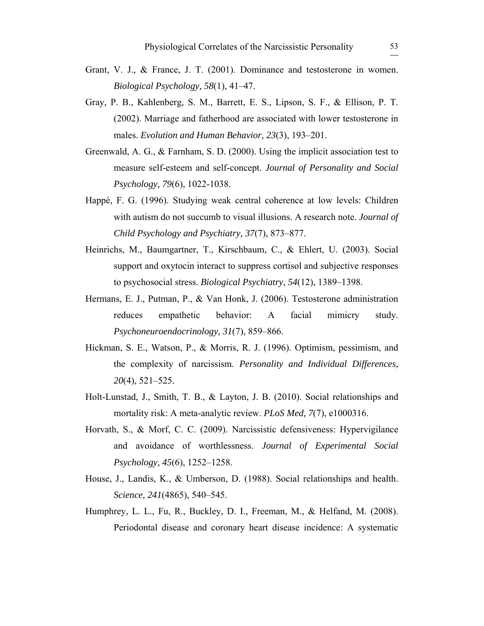- Grant, V. J., & France, J. T. (2001). Dominance and testosterone in women. *Biological Psychology, 58*(1), 41–47.
- Gray, P. B., Kahlenberg, S. M., Barrett, E. S., Lipson, S. F., & Ellison, P. T. (2002). Marriage and fatherhood are associated with lower testosterone in males. *Evolution and Human Behavior, 23*(3), 193–201.
- Greenwald, A. G., & Farnham, S. D. (2000). Using the implicit association test to measure self-esteem and self-concept. *Journal of Personality and Social Psychology, 79*(6), 1022-1038.
- Happé, F. G. (1996). Studying weak central coherence at low levels: Children with autism do not succumb to visual illusions. A research note. *Journal of Child Psychology and Psychiatry, 37*(7), 873–877.
- Heinrichs, M., Baumgartner, T., Kirschbaum, C., & Ehlert, U. (2003). Social support and oxytocin interact to suppress cortisol and subjective responses to psychosocial stress. *Biological Psychiatry, 54*(12), 1389–1398.
- Hermans, E. J., Putman, P., & Van Honk, J. (2006). Testosterone administration reduces empathetic behavior: A facial mimicry study. *Psychoneuroendocrinology, 31*(7), 859–866.
- Hickman, S. E., Watson, P., & Morris, R. J. (1996). Optimism, pessimism, and the complexity of narcissism. *Personality and Individual Differences, 20*(4), 521–525.
- Holt-Lunstad, J., Smith, T. B., & Layton, J. B. (2010). Social relationships and mortality risk: A meta-analytic review. *PLoS Med, 7*(7), e1000316.
- Horvath, S., & Morf, C. C. (2009). Narcissistic defensiveness: Hypervigilance and avoidance of worthlessness. *Journal of Experimental Social Psychology, 45*(6), 1252–1258.
- House, J., Landis, K., & Umberson, D. (1988). Social relationships and health. *Science, 241*(4865), 540–545.
- Humphrey, L. L., Fu, R., Buckley, D. I., Freeman, M., & Helfand, M. (2008). Periodontal disease and coronary heart disease incidence: A systematic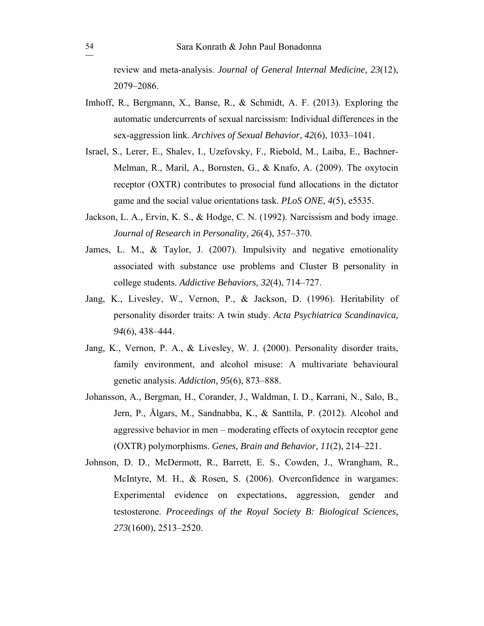review and meta-analysis. *Journal of General Internal Medicine, 23*(12), 2079–2086.

- Imhoff, R., Bergmann, X., Banse, R., & Schmidt, A. F. (2013). Exploring the automatic undercurrents of sexual narcissism: Individual differences in the sex-aggression link. *Archives of Sexual Behavior, 42*(6), 1033–1041.
- Israel, S., Lerer, E., Shalev, I., Uzefovsky, F., Riebold, M., Laiba, E., Bachner-Melman, R., Maril, A., Bornsten, G., & Knafo, A. (2009). The oxytocin receptor (OXTR) contributes to prosocial fund allocations in the dictator game and the social value orientations task. *PLoS ONE, 4*(5), e5535.
- Jackson, L. A., Ervin, K. S., & Hodge, C. N. (1992). Narcissism and body image. *Journal of Research in Personality, 26*(4), 357–370.
- James, L. M., & Taylor, J. (2007). Impulsivity and negative emotionality associated with substance use problems and Cluster B personality in college students. *Addictive Behaviors, 32*(4), 714–727.
- Jang, K., Livesley, W., Vernon, P., & Jackson, D. (1996). Heritability of personality disorder traits: A twin study. *Acta Psychiatrica Scandinavica, 94*(6), 438–444.
- Jang, K., Vernon, P. A., & Livesley, W. J. (2000). Personality disorder traits, family environment, and alcohol misuse: A multivariate behavioural genetic analysis. *Addiction, 95*(6), 873–888.
- Johansson, A., Bergman, H., Corander, J., Waldman, I. D., Karrani, N., Salo, B., Jern, P., Ålgars, M., Sandnabba, K., & Santtila, P. (2012). Alcohol and aggressive behavior in men – moderating effects of oxytocin receptor gene (OXTR) polymorphisms. *Genes, Brain and Behavior, 11*(2), 214–221.
- Johnson, D. D., McDermott, R., Barrett, E. S., Cowden, J., Wrangham, R., McIntyre, M. H., & Rosen, S. (2006). Overconfidence in wargames: Experimental evidence on expectations, aggression, gender and testosterone. *Proceedings of the Royal Society B: Biological Sciences, 273*(1600), 2513–2520.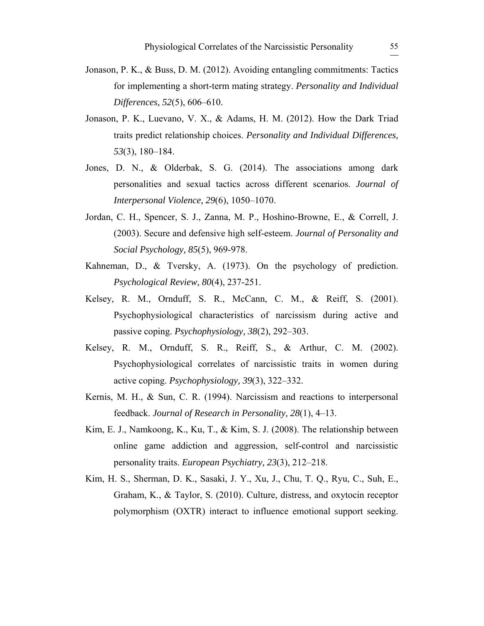- Jonason, P. K., & Buss, D. M. (2012). Avoiding entangling commitments: Tactics for implementing a short-term mating strategy. *Personality and Individual Differences, 52*(5), 606–610.
- Jonason, P. K., Luevano, V. X., & Adams, H. M. (2012). How the Dark Triad traits predict relationship choices. *Personality and Individual Differences, 53*(3), 180–184.
- Jones, D. N., & Olderbak, S. G. (2014). The associations among dark personalities and sexual tactics across different scenarios. *Journal of Interpersonal Violence, 29*(6), 1050–1070.
- Jordan, C. H., Spencer, S. J., Zanna, M. P., Hoshino-Browne, E., & Correll, J. (2003). Secure and defensive high self-esteem. *Journal of Personality and Social Psychology, 85*(5), 969-978.
- Kahneman, D., & Tversky, A. (1973). On the psychology of prediction. *Psychological Review, 80*(4), 237-251.
- Kelsey, R. M., Ornduff, S. R., McCann, C. M., & Reiff, S. (2001). Psychophysiological characteristics of narcissism during active and passive coping. *Psychophysiology, 38*(2), 292–303.
- Kelsey, R. M., Ornduff, S. R., Reiff, S., & Arthur, C. M. (2002). Psychophysiological correlates of narcissistic traits in women during active coping. *Psychophysiology, 39*(3), 322–332.
- Kernis, M. H., & Sun, C. R. (1994). Narcissism and reactions to interpersonal feedback. *Journal of Research in Personality, 28*(1), 4–13.
- Kim, E. J., Namkoong, K., Ku, T., & Kim, S. J. (2008). The relationship between online game addiction and aggression, self-control and narcissistic personality traits. *European Psychiatry, 23*(3), 212–218.
- Kim, H. S., Sherman, D. K., Sasaki, J. Y., Xu, J., Chu, T. Q., Ryu, C., Suh, E., Graham, K., & Taylor, S. (2010). Culture, distress, and oxytocin receptor polymorphism (OXTR) interact to influence emotional support seeking.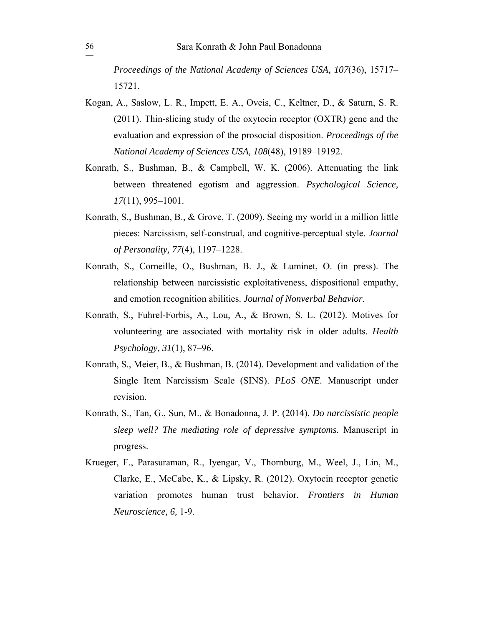*Proceedings of the National Academy of Sciences USA, 107*(36), 15717– 15721.

- Kogan, A., Saslow, L. R., Impett, E. A., Oveis, C., Keltner, D., & Saturn, S. R. (2011). Thin-slicing study of the oxytocin receptor (OXTR) gene and the evaluation and expression of the prosocial disposition. *Proceedings of the National Academy of Sciences USA, 108*(48), 19189–19192.
- Konrath, S., Bushman, B., & Campbell, W. K. (2006). Attenuating the link between threatened egotism and aggression. *Psychological Science, 17*(11), 995–1001.
- Konrath, S., Bushman, B., & Grove, T. (2009). Seeing my world in a million little pieces: Narcissism, self-construal, and cognitive-perceptual style. *Journal of Personality, 77*(4), 1197–1228.
- Konrath, S., Corneille, O., Bushman, B. J., & Luminet, O. (in press). The relationship between narcissistic exploitativeness, dispositional empathy, and emotion recognition abilities. *Journal of Nonverbal Behavior*.
- Konrath, S., Fuhrel-Forbis, A., Lou, A., & Brown, S. L. (2012). Motives for volunteering are associated with mortality risk in older adults. *Health Psychology, 31*(1), 87–96.
- Konrath, S., Meier, B., & Bushman, B. (2014). Development and validation of the Single Item Narcissism Scale (SINS). *PLoS ONE.* Manuscript under revision.
- Konrath, S., Tan, G., Sun, M., & Bonadonna, J. P. (2014). *Do narcissistic people sleep well? The mediating role of depressive symptoms.* Manuscript in progress.
- Krueger, F., Parasuraman, R., Iyengar, V., Thornburg, M., Weel, J., Lin, M., Clarke, E., McCabe, K., & Lipsky, R. (2012). Oxytocin receptor genetic variation promotes human trust behavior. *Frontiers in Human Neuroscience, 6,* 1-9.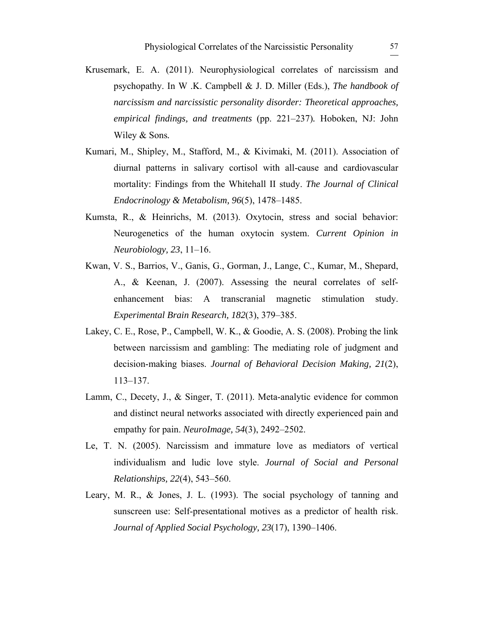- Krusemark, E. A. (2011). Neurophysiological correlates of narcissism and psychopathy. In W .K. Campbell & J. D. Miller (Eds.), *The handbook of narcissism and narcissistic personality disorder: Theoretical approaches, empirical findings, and treatments* (pp. 221–237)*.* Hoboken, NJ: John Wiley & Sons*.*
- Kumari, M., Shipley, M., Stafford, M., & Kivimaki, M. (2011). Association of diurnal patterns in salivary cortisol with all-cause and cardiovascular mortality: Findings from the Whitehall II study. *The Journal of Clinical Endocrinology & Metabolism, 96*(5), 1478–1485.
- Kumsta, R., & Heinrichs, M. (2013). Oxytocin, stress and social behavior: Neurogenetics of the human oxytocin system. *Current Opinion in Neurobiology, 23*, 11–16.
- Kwan, V. S., Barrios, V., Ganis, G., Gorman, J., Lange, C., Kumar, M., Shepard, A., & Keenan, J. (2007). Assessing the neural correlates of selfenhancement bias: A transcranial magnetic stimulation study. *Experimental Brain Research, 182*(3), 379–385.
- Lakey, C. E., Rose, P., Campbell, W. K., & Goodie, A. S. (2008). Probing the link between narcissism and gambling: The mediating role of judgment and decision-making biases. *Journal of Behavioral Decision Making, 21*(2), 113–137.
- Lamm, C., Decety, J., & Singer, T. (2011). Meta-analytic evidence for common and distinct neural networks associated with directly experienced pain and empathy for pain. *NeuroImage, 54*(3), 2492–2502.
- Le, T. N. (2005). Narcissism and immature love as mediators of vertical individualism and ludic love style. *Journal of Social and Personal Relationships, 22*(4), 543–560.
- Leary, M. R., & Jones, J. L. (1993). The social psychology of tanning and sunscreen use: Self-presentational motives as a predictor of health risk. *Journal of Applied Social Psychology, 23*(17), 1390–1406.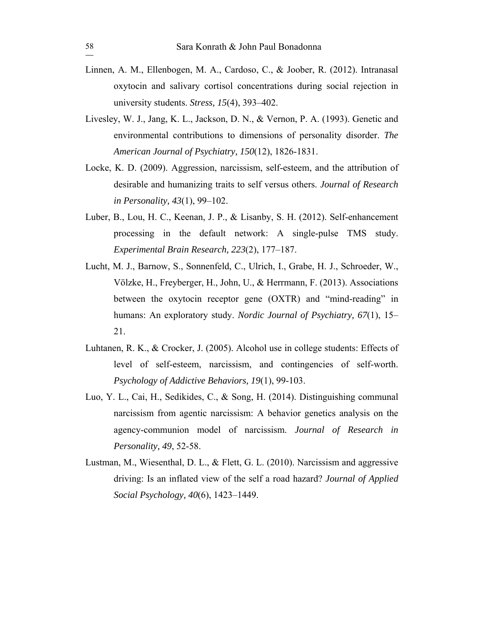- Linnen, A. M., Ellenbogen, M. A., Cardoso, C., & Joober, R. (2012). Intranasal oxytocin and salivary cortisol concentrations during social rejection in university students. *Stress, 15*(4), 393–402.
- Livesley, W. J., Jang, K. L., Jackson, D. N., & Vernon, P. A. (1993). Genetic and environmental contributions to dimensions of personality disorder. *The American Journal of Psychiatry, 150*(12), 1826-1831.
- Locke, K. D. (2009). Aggression, narcissism, self-esteem, and the attribution of desirable and humanizing traits to self versus others. *Journal of Research in Personality, 43*(1), 99–102.
- Luber, B., Lou, H. C., Keenan, J. P., & Lisanby, S. H. (2012). Self-enhancement processing in the default network: A single-pulse TMS study. *Experimental Brain Research, 223*(2), 177–187.
- Lucht, M. J., Barnow, S., Sonnenfeld, C., Ulrich, I., Grabe, H. J., Schroeder, W., Völzke, H., Freyberger, H., John, U., & Herrmann, F. (2013). Associations between the oxytocin receptor gene (OXTR) and "mind-reading" in humans: An exploratory study. *Nordic Journal of Psychiatry, 67*(1), 15– 21.
- Luhtanen, R. K., & Crocker, J. (2005). Alcohol use in college students: Effects of level of self-esteem, narcissism, and contingencies of self-worth. *Psychology of Addictive Behaviors, 19*(1), 99-103.
- Luo, Y. L., Cai, H., Sedikides, C., & Song, H. (2014). Distinguishing communal narcissism from agentic narcissism: A behavior genetics analysis on the agency-communion model of narcissism. *Journal of Research in Personality, 49*, 52-58.
- Lustman, M., Wiesenthal, D. L., & Flett, G. L. (2010). Narcissism and aggressive driving: Is an inflated view of the self a road hazard? *Journal of Applied Social Psychology, 40*(6), 1423–1449.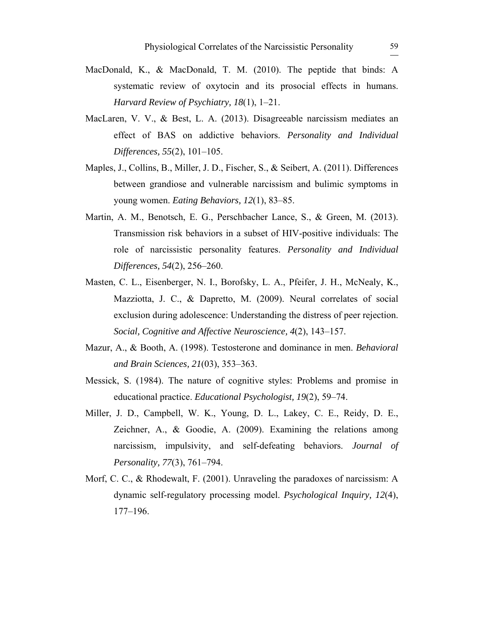- MacDonald, K., & MacDonald, T. M. (2010). The peptide that binds: A systematic review of oxytocin and its prosocial effects in humans. *Harvard Review of Psychiatry, 18*(1), 1–21.
- MacLaren, V. V., & Best, L. A. (2013). Disagreeable narcissism mediates an effect of BAS on addictive behaviors. *Personality and Individual Differences, 55*(2), 101–105.
- Maples, J., Collins, B., Miller, J. D., Fischer, S., & Seibert, A. (2011). Differences between grandiose and vulnerable narcissism and bulimic symptoms in young women. *Eating Behaviors, 12*(1), 83–85.
- Martin, A. M., Benotsch, E. G., Perschbacher Lance, S., & Green, M. (2013). Transmission risk behaviors in a subset of HIV-positive individuals: The role of narcissistic personality features. *Personality and Individual Differences, 54*(2), 256–260.
- Masten, C. L., Eisenberger, N. I., Borofsky, L. A., Pfeifer, J. H., McNealy, K., Mazziotta, J. C., & Dapretto, M. (2009). Neural correlates of social exclusion during adolescence: Understanding the distress of peer rejection. *Social, Cognitive and Affective Neuroscience, 4*(2), 143–157.
- Mazur, A., & Booth, A. (1998). Testosterone and dominance in men. *Behavioral and Brain Sciences, 21*(03), 353–363.
- Messick, S. (1984). The nature of cognitive styles: Problems and promise in educational practice. *Educational Psychologist, 19*(2), 59–74.
- Miller, J. D., Campbell, W. K., Young, D. L., Lakey, C. E., Reidy, D. E., Zeichner, A., & Goodie, A. (2009). Examining the relations among narcissism, impulsivity, and self-defeating behaviors. *Journal of Personality, 77*(3), 761–794.
- Morf, C. C., & Rhodewalt, F. (2001). Unraveling the paradoxes of narcissism: A dynamic self-regulatory processing model. *Psychological Inquiry, 12*(4), 177–196.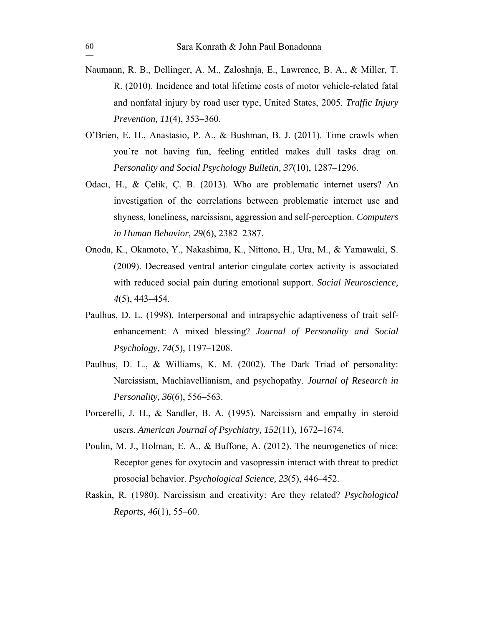- Naumann, R. B., Dellinger, A. M., Zaloshnja, E., Lawrence, B. A., & Miller, T. R. (2010). Incidence and total lifetime costs of motor vehicle-related fatal and nonfatal injury by road user type, United States, 2005. *Traffic Injury Prevention, 11*(4), 353–360.
- O'Brien, E. H., Anastasio, P. A., & Bushman, B. J. (2011). Time crawls when you're not having fun, feeling entitled makes dull tasks drag on. *Personality and Social Psychology Bulletin, 37*(10), 1287–1296.
- Odacı, H., & Çelik, Ç. B. (2013). Who are problematic internet users? An investigation of the correlations between problematic internet use and shyness, loneliness, narcissism, aggression and self-perception. *Computers in Human Behavior, 29*(6), 2382–2387.
- Onoda, K., Okamoto, Y., Nakashima, K., Nittono, H., Ura, M., & Yamawaki, S. (2009). Decreased ventral anterior cingulate cortex activity is associated with reduced social pain during emotional support. *Social Neuroscience, 4*(5), 443–454.
- Paulhus, D. L. (1998). Interpersonal and intrapsychic adaptiveness of trait selfenhancement: A mixed blessing? *Journal of Personality and Social Psychology, 74*(5), 1197–1208.
- Paulhus, D. L., & Williams, K. M. (2002). The Dark Triad of personality: Narcissism, Machiavellianism, and psychopathy. *Journal of Research in Personality, 36*(6), 556–563.
- Porcerelli, J. H., & Sandler, B. A. (1995). Narcissism and empathy in steroid users. *American Journal of Psychiatry, 152*(11), 1672–1674.
- Poulin, M. J., Holman, E. A., & Buffone, A. (2012). The neurogenetics of nice: Receptor genes for oxytocin and vasopressin interact with threat to predict prosocial behavior. *Psychological Science, 23*(5), 446–452.
- Raskin, R. (1980). Narcissism and creativity: Are they related? *Psychological Reports, 46*(1), 55–60.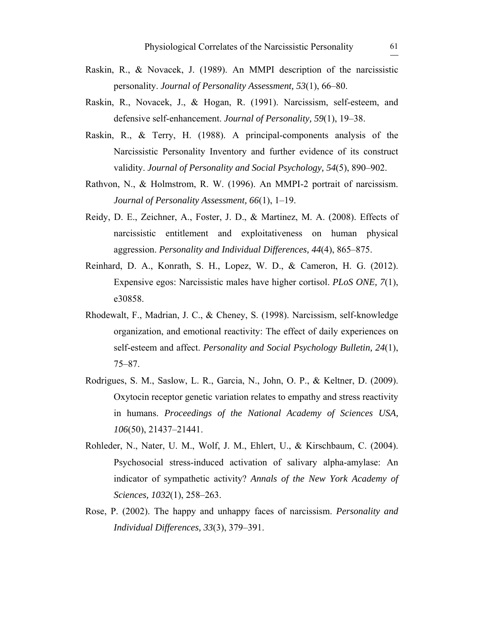- Raskin, R., & Novacek, J. (1989). An MMPI description of the narcissistic personality. *Journal of Personality Assessment, 53*(1), 66–80.
- Raskin, R., Novacek, J., & Hogan, R. (1991). Narcissism, self-esteem, and defensive self-enhancement. *Journal of Personality, 59*(1), 19–38.
- Raskin, R., & Terry, H. (1988). A principal-components analysis of the Narcissistic Personality Inventory and further evidence of its construct validity. *Journal of Personality and Social Psychology, 54*(5), 890–902.
- Rathvon, N., & Holmstrom, R. W. (1996). An MMPI-2 portrait of narcissism. *Journal of Personality Assessment, 66*(1), 1–19.
- Reidy, D. E., Zeichner, A., Foster, J. D., & Martinez, M. A. (2008). Effects of narcissistic entitlement and exploitativeness on human physical aggression. *Personality and Individual Differences, 44*(4), 865–875.
- Reinhard, D. A., Konrath, S. H., Lopez, W. D., & Cameron, H. G. (2012). Expensive egos: Narcissistic males have higher cortisol. *PLoS ONE, 7*(1), e30858.
- Rhodewalt, F., Madrian, J. C., & Cheney, S. (1998). Narcissism, self-knowledge organization, and emotional reactivity: The effect of daily experiences on self-esteem and affect. *Personality and Social Psychology Bulletin, 24*(1), 75–87.
- Rodrigues, S. M., Saslow, L. R., Garcia, N., John, O. P., & Keltner, D. (2009). Oxytocin receptor genetic variation relates to empathy and stress reactivity in humans. *Proceedings of the National Academy of Sciences USA, 106*(50), 21437–21441.
- Rohleder, N., Nater, U. M., Wolf, J. M., Ehlert, U., & Kirschbaum, C. (2004). Psychosocial stress-induced activation of salivary alpha-amylase: An indicator of sympathetic activity? *Annals of the New York Academy of Sciences, 1032*(1), 258–263.
- Rose, P. (2002). The happy and unhappy faces of narcissism. *Personality and Individual Differences, 33*(3), 379–391.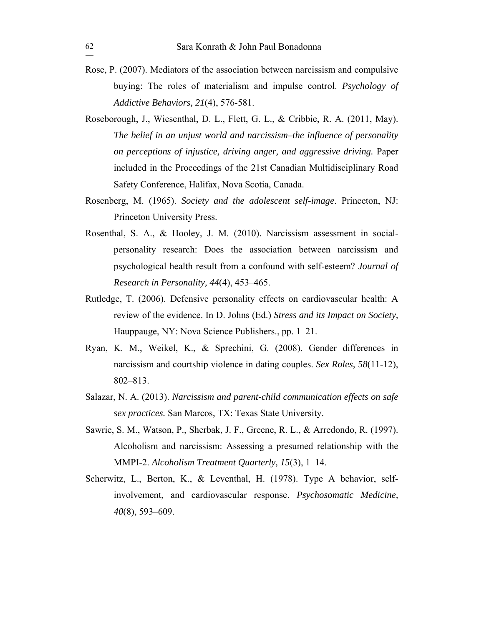- Rose, P. (2007). Mediators of the association between narcissism and compulsive buying: The roles of materialism and impulse control. *Psychology of Addictive Behaviors, 21*(4), 576-581.
- Roseborough, J., Wiesenthal, D. L., Flett, G. L., & Cribbie, R. A. (2011, May). *The belief in an unjust world and narcissism–the influence of personality on perceptions of injustice, driving anger, and aggressive driving.* Paper included in the Proceedings of the 21st Canadian Multidisciplinary Road Safety Conference, Halifax, Nova Scotia, Canada.
- Rosenberg, M. (1965). *Society and the adolescent self-image*. Princeton, NJ: Princeton University Press.
- Rosenthal, S. A., & Hooley, J. M. (2010). Narcissism assessment in socialpersonality research: Does the association between narcissism and psychological health result from a confound with self-esteem? *Journal of Research in Personality, 44*(4), 453–465.
- Rutledge, T. (2006). Defensive personality effects on cardiovascular health: A review of the evidence. In D. Johns (Ed.) *Stress and its Impact on Society,*  Hauppauge, NY: Nova Science Publishers., pp. 1–21.
- Ryan, K. M., Weikel, K., & Sprechini, G. (2008). Gender differences in narcissism and courtship violence in dating couples. *Sex Roles, 58*(11-12), 802–813.
- Salazar, N. A. (2013). *Narcissism and parent-child communication effects on safe sex practices.* San Marcos, TX: Texas State University.
- Sawrie, S. M., Watson, P., Sherbak, J. F., Greene, R. L., & Arredondo, R. (1997). Alcoholism and narcissism: Assessing a presumed relationship with the MMPI-2. *Alcoholism Treatment Quarterly, 15*(3), 1–14.
- Scherwitz, L., Berton, K., & Leventhal, H. (1978). Type A behavior, selfinvolvement, and cardiovascular response. *Psychosomatic Medicine, 40*(8), 593–609.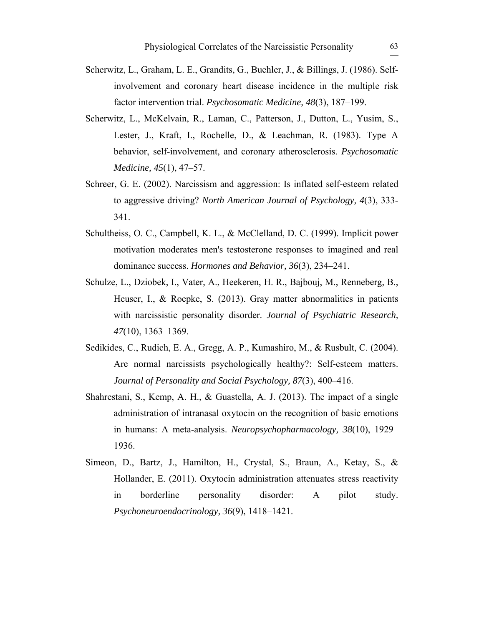- Scherwitz, L., Graham, L. E., Grandits, G., Buehler, J., & Billings, J. (1986). Selfinvolvement and coronary heart disease incidence in the multiple risk factor intervention trial. *Psychosomatic Medicine, 48*(3), 187–199.
- Scherwitz, L., McKelvain, R., Laman, C., Patterson, J., Dutton, L., Yusim, S., Lester, J., Kraft, I., Rochelle, D., & Leachman, R. (1983). Type A behavior, self-involvement, and coronary atherosclerosis. *Psychosomatic Medicine, 45*(1), 47–57.
- Schreer, G. E. (2002). Narcissism and aggression: Is inflated self-esteem related to aggressive driving? *North American Journal of Psychology, 4*(3), 333- 341.
- Schultheiss, O. C., Campbell, K. L., & McClelland, D. C. (1999). Implicit power motivation moderates men's testosterone responses to imagined and real dominance success. *Hormones and Behavior, 36*(3), 234–241.
- Schulze, L., Dziobek, I., Vater, A., Heekeren, H. R., Bajbouj, M., Renneberg, B., Heuser, I., & Roepke, S. (2013). Gray matter abnormalities in patients with narcissistic personality disorder. *Journal of Psychiatric Research, 47*(10), 1363–1369.
- Sedikides, C., Rudich, E. A., Gregg, A. P., Kumashiro, M., & Rusbult, C. (2004). Are normal narcissists psychologically healthy?: Self-esteem matters. *Journal of Personality and Social Psychology, 87*(3), 400–416.
- Shahrestani, S., Kemp, A. H., & Guastella, A. J. (2013). The impact of a single administration of intranasal oxytocin on the recognition of basic emotions in humans: A meta-analysis. *Neuropsychopharmacology, 38*(10), 1929– 1936.
- Simeon, D., Bartz, J., Hamilton, H., Crystal, S., Braun, A., Ketay, S., & Hollander, E. (2011). Oxytocin administration attenuates stress reactivity in borderline personality disorder: A pilot study. *Psychoneuroendocrinology, 36*(9), 1418–1421.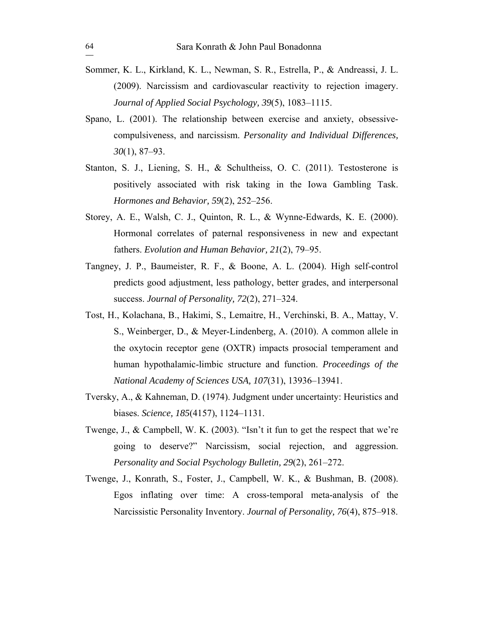- Sommer, K. L., Kirkland, K. L., Newman, S. R., Estrella, P., & Andreassi, J. L. (2009). Narcissism and cardiovascular reactivity to rejection imagery. *Journal of Applied Social Psychology, 39*(5), 1083–1115.
- Spano, L. (2001). The relationship between exercise and anxiety, obsessivecompulsiveness, and narcissism. *Personality and Individual Differences, 30*(1), 87–93.
- Stanton, S. J., Liening, S. H., & Schultheiss, O. C. (2011). Testosterone is positively associated with risk taking in the Iowa Gambling Task. *Hormones and Behavior, 59*(2), 252–256.
- Storey, A. E., Walsh, C. J., Quinton, R. L., & Wynne-Edwards, K. E. (2000). Hormonal correlates of paternal responsiveness in new and expectant fathers. *Evolution and Human Behavior, 21*(2), 79–95.
- Tangney, J. P., Baumeister, R. F., & Boone, A. L. (2004). High self-control predicts good adjustment, less pathology, better grades, and interpersonal success. *Journal of Personality, 72*(2), 271–324.
- Tost, H., Kolachana, B., Hakimi, S., Lemaitre, H., Verchinski, B. A., Mattay, V. S., Weinberger, D., & Meyer-Lindenberg, A. (2010). A common allele in the oxytocin receptor gene (OXTR) impacts prosocial temperament and human hypothalamic-limbic structure and function. *Proceedings of the National Academy of Sciences USA, 107*(31), 13936–13941.
- Tversky, A., & Kahneman, D. (1974). Judgment under uncertainty: Heuristics and biases. *Science, 185*(4157), 1124–1131.
- Twenge, J., & Campbell, W. K. (2003). "Isn't it fun to get the respect that we're going to deserve?" Narcissism, social rejection, and aggression. *Personality and Social Psychology Bulletin, 29*(2), 261–272.
- Twenge, J., Konrath, S., Foster, J., Campbell, W. K., & Bushman, B. (2008). Egos inflating over time: A cross-temporal meta-analysis of the Narcissistic Personality Inventory. *Journal of Personality, 76*(4), 875–918.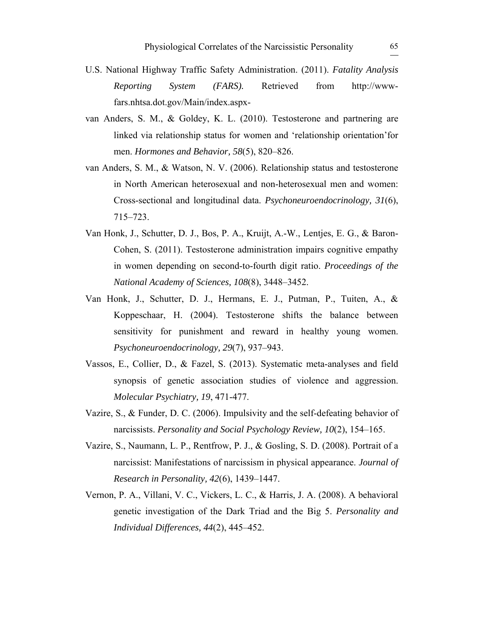- U.S. National Highway Traffic Safety Administration. (2011). *Fatality Analysis Reporting System (FARS).* Retrieved from http://wwwfars.nhtsa.dot.gov/Main/index.aspx-
- van Anders, S. M., & Goldey, K. L. (2010). Testosterone and partnering are linked via relationship status for women and 'relationship orientation'for men. *Hormones and Behavior, 58*(5), 820–826.
- van Anders, S. M., & Watson, N. V. (2006). Relationship status and testosterone in North American heterosexual and non-heterosexual men and women: Cross-sectional and longitudinal data. *Psychoneuroendocrinology, 31*(6), 715–723.
- Van Honk, J., Schutter, D. J., Bos, P. A., Kruijt, A.-W., Lentjes, E. G., & Baron-Cohen, S. (2011). Testosterone administration impairs cognitive empathy in women depending on second-to-fourth digit ratio. *Proceedings of the National Academy of Sciences, 108*(8), 3448–3452.
- Van Honk, J., Schutter, D. J., Hermans, E. J., Putman, P., Tuiten, A., & Koppeschaar, H. (2004). Testosterone shifts the balance between sensitivity for punishment and reward in healthy young women. *Psychoneuroendocrinology, 29*(7), 937–943.
- Vassos, E., Collier, D., & Fazel, S. (2013). Systematic meta-analyses and field synopsis of genetic association studies of violence and aggression. *Molecular Psychiatry, 19*, 471-477.
- Vazire, S., & Funder, D. C. (2006). Impulsivity and the self-defeating behavior of narcissists. *Personality and Social Psychology Review, 10*(2), 154–165.
- Vazire, S., Naumann, L. P., Rentfrow, P. J., & Gosling, S. D. (2008). Portrait of a narcissist: Manifestations of narcissism in physical appearance. *Journal of Research in Personality, 42*(6), 1439–1447.
- Vernon, P. A., Villani, V. C., Vickers, L. C., & Harris, J. A. (2008). A behavioral genetic investigation of the Dark Triad and the Big 5. *Personality and Individual Differences, 44*(2), 445–452.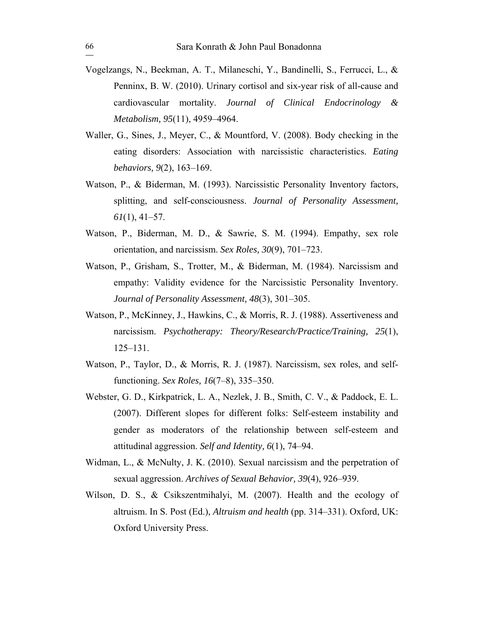- Vogelzangs, N., Beekman, A. T., Milaneschi, Y., Bandinelli, S., Ferrucci, L., & Penninx, B. W. (2010). Urinary cortisol and six-year risk of all-cause and cardiovascular mortality. *Journal of Clinical Endocrinology & Metabolism, 95*(11), 4959–4964.
- Waller, G., Sines, J., Meyer, C., & Mountford, V. (2008). Body checking in the eating disorders: Association with narcissistic characteristics. *Eating behaviors, 9*(2), 163–169.
- Watson, P., & Biderman, M. (1993). Narcissistic Personality Inventory factors, splitting, and self-consciousness. *Journal of Personality Assessment, 61*(1), 41–57.
- Watson, P., Biderman, M. D., & Sawrie, S. M. (1994). Empathy, sex role orientation, and narcissism. *Sex Roles, 30*(9), 701–723.
- Watson, P., Grisham, S., Trotter, M., & Biderman, M. (1984). Narcissism and empathy: Validity evidence for the Narcissistic Personality Inventory. *Journal of Personality Assessment, 48*(3), 301–305.
- Watson, P., McKinney, J., Hawkins, C., & Morris, R. J. (1988). Assertiveness and narcissism. *Psychotherapy: Theory/Research/Practice/Training, 25*(1), 125–131.
- Watson, P., Taylor, D., & Morris, R. J. (1987). Narcissism, sex roles, and selffunctioning. *Sex Roles, 16*(7–8), 335–350.
- Webster, G. D., Kirkpatrick, L. A., Nezlek, J. B., Smith, C. V., & Paddock, E. L. (2007). Different slopes for different folks: Self-esteem instability and gender as moderators of the relationship between self-esteem and attitudinal aggression. *Self and Identity, 6*(1), 74–94.
- Widman, L., & McNulty, J. K. (2010). Sexual narcissism and the perpetration of sexual aggression. *Archives of Sexual Behavior, 39*(4), 926–939.
- Wilson, D. S., & Csikszentmihalyi, M. (2007). Health and the ecology of altruism. In S. Post (Ed.), *Altruism and health* (pp. 314–331). Oxford, UK: Oxford University Press.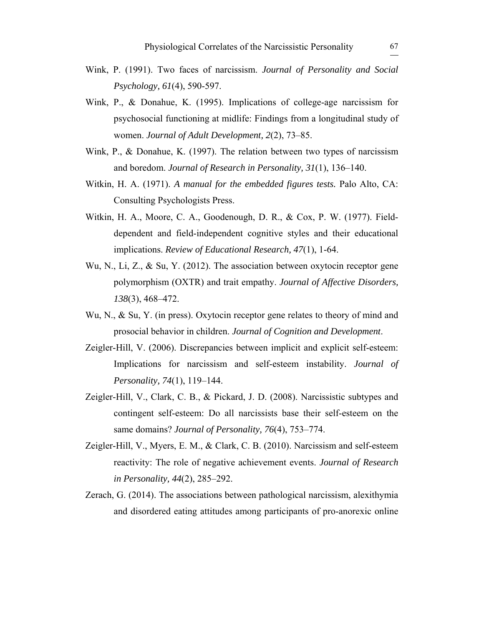- Wink, P. (1991). Two faces of narcissism. *Journal of Personality and Social Psychology, 61*(4), 590-597.
- Wink, P., & Donahue, K. (1995). Implications of college-age narcissism for psychosocial functioning at midlife: Findings from a longitudinal study of women. *Journal of Adult Development, 2*(2), 73–85.
- Wink, P., & Donahue, K. (1997). The relation between two types of narcissism and boredom. *Journal of Research in Personality, 31*(1), 136–140.
- Witkin, H. A. (1971). *A manual for the embedded figures tests.* Palo Alto, CA: Consulting Psychologists Press.
- Witkin, H. A., Moore, C. A., Goodenough, D. R., & Cox, P. W. (1977). Fielddependent and field-independent cognitive styles and their educational implications. *Review of Educational Research, 47*(1), 1-64.
- Wu, N., Li, Z., & Su, Y. (2012). The association between oxytocin receptor gene polymorphism (OXTR) and trait empathy. *Journal of Affective Disorders, 138*(3), 468–472.
- Wu, N., & Su, Y. (in press). Oxytocin receptor gene relates to theory of mind and prosocial behavior in children. *Journal of Cognition and Development*.
- Zeigler-Hill, V. (2006). Discrepancies between implicit and explicit self-esteem: Implications for narcissism and self-esteem instability. *Journal of Personality, 74*(1), 119–144.
- Zeigler-Hill, V., Clark, C. B., & Pickard, J. D. (2008). Narcissistic subtypes and contingent self-esteem: Do all narcissists base their self-esteem on the same domains? *Journal of Personality, 76*(4), 753–774.
- Zeigler-Hill, V., Myers, E. M., & Clark, C. B. (2010). Narcissism and self-esteem reactivity: The role of negative achievement events. *Journal of Research in Personality, 44*(2), 285–292.
- Zerach, G. (2014). The associations between pathological narcissism, alexithymia and disordered eating attitudes among participants of pro-anorexic online